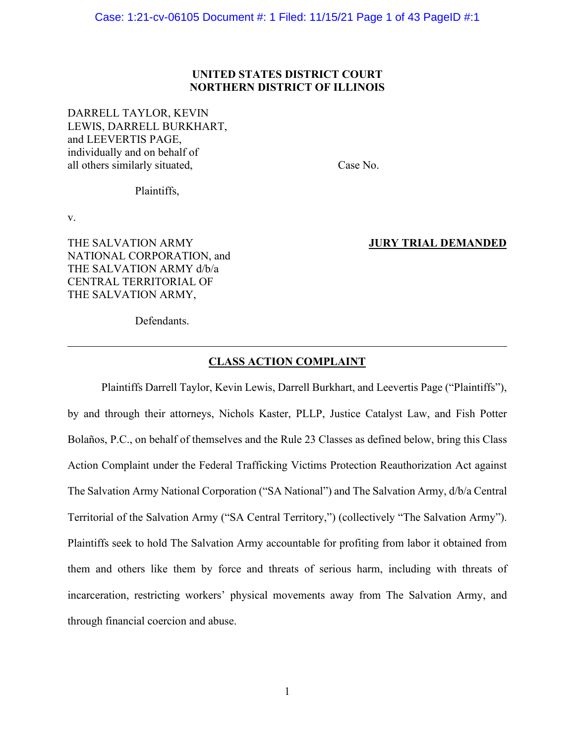#### UNITED STATES DISTRICT COURT NORTHERN DISTRICT OF ILLINOIS

Case: 1:21-cv-06105 Document #: 1 Filed: 11/15/21 Page 1 of 43 P<br>UNITED STATES DISTRICT COURT<br>NORTHERN DISTRICT OF ILLINOIS<br>DARRELL TAYLOR, KEVIN<br>LEWIS, DARRELL BURKHART,<br>and LEEVERTIS PAGE,<br>individually and on behalf of<br>a LEWIS, DARRELL BURKHART, and LEEVERTIS PAGE, individually and on behalf of Case: 1:21-cv-06105 Document #: 1 Filed: 11/15/21 Page 1 of 43 PageID #:1<br>
UNITED STATES DISTRICT COURT<br>
NORTHERN DISTRICT OF ILLINOIS<br>
DARRELL TAYLOR, KEVIN<br>
DEWIS, DARRELL BURKHART,<br>
and LEEVERTIS PAGE,<br>
and LEEVERTIS PA

Plaintiffs,

v.

THE SALVATION ARMY **SECULIAR SERVICES JURY TRIAL DEMANDED** NATIONAL CORPORATION, and THE SALVATION ARMY d/b/a CENTRAL TERRITORIAL OF THE SALVATION ARMY,

Defendants.

#### CLASS ACTION COMPLAINT

Example 19 and on behalf of<br>
Plaintiffs,<br>
Plaintiffs,<br>
Plaintiffs,<br>
Plaintiffs,<br>
Plaintiffs Darrell Taylor, Kevin Lewis, Darrell Burkhart, and Leevertis Page ("Plaintiffs"),<br>
Defendants.<br>
CLASS ACTION COMPLAINT<br>
Plaintiffs Plaintiffs,<br>
v.<br>
THE SALVATION ARMY<br>
MATIONAL CORPORATION, and<br>
THE SALVATION ARMY d/b/a<br>
THE SALVATION ARMY d/b/a<br>
Defendants.<br>
Defendants.<br>
Defendants.<br>
CLASS ACTION COMPLAINT<br>
Plaintiffs Darrell Taylor, Kevin Lewis, Dar v.<br>
MATIONAL CORPORATION, and<br>
THE SALVATION ARMY d/b/a<br>
CENTRAL TERRITORIAL OF<br>
THE SALVATION ARMY,<br>
Defendants.<br>
<u>CLASS ACTION COMPLAINT</u><br>
Plaintiffs Darrell Taylor, Kevin Lewis, Darrell Burkhart, and Leevertis Page ("Pl Action Complaint under the Federal Trafficking Victims Protection Reauthorization Act against NATIONAL CORPORATION, and<br>
THE SALVATION ARMY db/a<br>
CENTRAL TERRITORIAL OF<br>
THE SALVATION ARMY,<br>
Defendants.<br>
CLASS ACTION COMPLAINT<br>
Plaintiffs Darrell Taylor, Kevin Lewis, Darrell Burkhart, and Leevertis Page ("Plaintiff CENTRAL TERRITORIAL OF<br>
CLASS ACTION COMPLAINT<br>
Plaintiffs Darrell Taylor, Kevin Lewis, Darrell Burkhart, and Leevertis Page ("Plaintiffs"),<br>
by and through their attomeys, Nichols Kaster, PLLP, Justice Catalyst Law, and F **CLASS ACTION COMPLAINT**<br>
Plaintiffs Darrell Taylor, Kevin Lewis, Darrell Burkhart, and Leevertis Page ("Plaintiffs"),<br>
by and through their attorneys, Nichols Kaster, PLLP, Justice Catalyst Law, and Fish Potter<br>
Bolaños, **CLASS ACTION COMPLAINT**<br>
Plaintiffs Darrell Taylor, Kevin Lewis, Darrell Burkhart, and Leevertis Page ("Plaintiffs"),<br>
by and through their attomeys, Nichols Kaster, PLLP, Justice Catalyst Law, and Fish Potter<br>
Bolaños, P incarceration, restricting workers' physical movements away from The Salvation Army, and Plaintiffs Darrell Taylor, Kevin Lewis, Darrell Burkhart, and Leevertis Page ("Plaintiffs"<br>by and through their attorneys, Nichols Kaster, PLLP, Justice Catalyst Law, and Fish Pott<br>Bolaños, P.C., on behalf of themselves an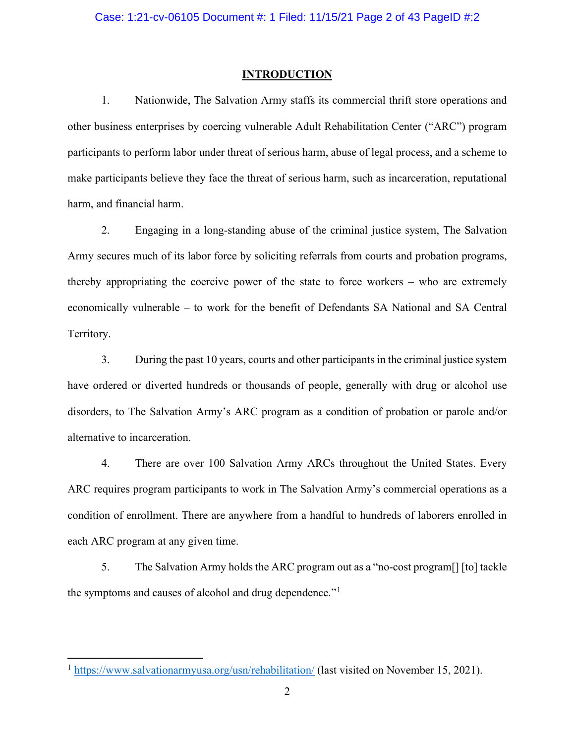#### **INTRODUCTION**

2. 1.21-cv-06105 Document #: 1 Filed: 11/15/21 Page 2 of 43 PagelD #:2<br>
INTRODUCTION<br>
1. Nationwide, The Salvation Army staffs its commercial thrift store operations and<br>
usiness enterprises by coercing vulnerable Adult Re Case: 1:21-cv-06105 Document #: 1 Filed: 11/15/21 Page 2 of 43 PagelD #:2<br>
INTRODUCTION<br>
1. Nationwide, The Salvation Army staffs its commercial thrift store operations and<br>
other business enterprises by coercing vulnerabl participants to perform labor under threat of serious harm, abuse of legal process, and a scheme to Case: 1:21-cv-06105 Document #: 1 Filed: 11/15/21 Page 2 of 43 PagelD #:2<br>
MTRODUCTION<br>
1. Nationwide, The Salvation Army staffs its commercial thrift store operations and<br>
other business enterprises by coercing vulnerable harm, and financial harm. 2. Engaging in a long-standing abuse of the state to force workers – who are extremely<br>approximates abuse of the Salvation Army staffs its commercial thrift store operations and<br>abusiness enterprises by coercing vulnerable Case: 1:21-cv-06105 Document *#*: 1 Filed: 11/15/21 Page 2 of 43 PagelD *#*:2<br> **INTRODUCTION**<br>
1. Nationwide, The Salvation Army staffs its commercial thrift store operations and<br>
other business enterprises by coercing vu

**EXEMICTION**<br>
1. Nationwide, The Salvation Army staffs its commercial thrift store operations and<br>
other business enterprises by coercing vulnerable Adult Rehabilitation Center (\*ARC") program<br>
participants to perform labo **EXTRODUCTION**<br>
1. Nationwide, The Salvation Army staffs its commercial thrift store operations and<br>
other business enterprises by coercing vulnerable Adult Rehabilitation Center ("ARC") program<br>
participants to perform la Territory. asiness enterprises by eoereing vulnerable Adult Rehabilitation Center ("ARC") program<br>ants to perform labor under threat of serious harm, abuse of legal process, and a seheme to<br>articipants believe they face the threat of participants to perform labor under threat of serious harm, abuse of legal process, and a scheme to make participants believe they face the threat of serious harm, such as incarceration, reputational harm, and financial ha make participants believe they face the threat of serious harm, such as incarceration, reputational<br>harm, and financial harm.<br>2. Engaging in a long-standing abuse of the criminal justice system, The Salvation<br>Army sceures 2. Engaging in a long-standing abuse of the criminal justice system, The Salvation<br>recurres much of its labor force by soliciting referrals from courts and probation programs,<br>appropriating the coercive power of the state

alternative to incarceration.

ARC requires program participants to work in The Salvation Army's commercial operations as a condition of enrollment. There are anywhere from a handful to hundreds of laborers enrolled in economically vulnerable – to work for the benefit of Defendants SA National and SA<br>
Territory.<br>
3. During the past 10 years, courts and other participants in the criminal justic<br>
have ordered or diverted hundreds or thous 5. During the past 10 years, courts and other participants in the criminal justice system<br>dered or diverted hundreds or thousands of people, generally with drug or alcohol use<br>rs, to The Salvation Army's ARC program as a c

the symptoms and causes of alcohol and drug dependence."<sup>1</sup>

<sup>&</sup>lt;sup>1</sup> https://www.salvationarmyusa.org/usn/rehabilitation/ (last visited on November 15, 2021).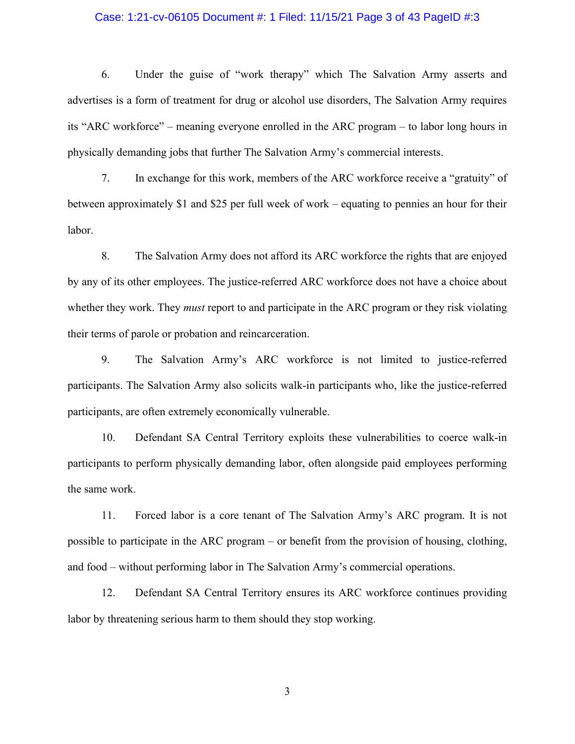#### Case: 1:21-cv-06105 Document #: 1 Filed: 11/15/21 Page 3 of 43 PageID #:3

Case: 1:21-cv-06105 Document #: 1 Filed: 11/15/21 Page 3 of 43 PageID #:3<br>6. Under the guise of "work therapy" which The Salvation Army asserts and<br>ses is a form of treatment for drug or alcohol use disorders, The Salvatio advertises is a form of treatment for drug or alcohol use disorders, The Salvation Army requires Case: 1:21-cv-06105 Document #: 1 Filed: 11/15/21 Page 3 of 43 PageID #:3<br>6. Under the guise of "work therapy" which The Salvation Army asserts and<br>advertises is a form of treatment for drug or alcohol use disorders, The S physically demanding jobs that further The Salvation Army's commercial interests. 7. In exchange for this work members of the ARC workforce receive a "gratuity" of the guise of "work therapy" which The Salvation Army asserts and<br>
1. Under the guise of "work therapy" which The Salvation Army asserts and<br> Case: 1:21-cv-06105 Document #: 1 Filed: 11/15/21 Page 3 of 43 PagelD #:3<br>6. Under the guise of "work therapy" which The Salvation Army asserts and<br>advertises is a form of treatment for drug or alcohol use disorders, The ase: 1:21-cv-06105 Document #: 1 Filed: 11/15/21 Page 3 of 43 PagelD #:3<br>6. Under the guise of "work therapy" which The Salvation Army asserts and<br>es is a form of treatment for drug or alcohol use disorders, The Salvation

labor.

by any of its other employees. The justice-referred ARC workforce does not have a choice about the same of program is the Salvation Army requires its "ARC workforce" – meaning everyone enrolled in the ARC program – to labo 6. Under the guise of "work therapy" which The Salvation Army asserts and<br>advertises is a form of treatment for drug or alcohol use disorders, The Salvation Army requires<br>its "ARC workforee" – meaning everyone enrolled in their terms of parole or probation and reincarceration. C workforce" – meaning everyone enrolled in the ARC program – to labor long hours in<br>Ily demanding jobs that further The Salvation Army's commercial interests.<br>7. In exchange for this work, members of the ARC workforce rec physically demanding jobs that further The Salvation Army's commercial interests.<br>
7. In exchange for this work, members of the ARC workforce receive a "gratuity" of<br>
between approximately \$1 and \$25 per full week of work 7. In exchange for this work, members of the ARC workforce receive a "gratt<br>between approximately \$1 and \$25 per full week of work – equating to pennies an hour fe<br>labor.<br>8. The Salvation Army does not afford its ARC workf 11. The Salvation Army does not afford its ARC workforce the rights that are enjoyed<br>
19. The Salvation Army does not afford its ARC workforce the rights that are enjoyed<br>
19. The Salvation Army streport to and participate Rabor.<br>
8. The Salvation Army does not afford its ARC workforce the rights that are enjoyed<br>
by any of its other employees. The justice-referred ARC workforce does not have a choice about<br>
whether they work. They *must* re of its other employees. The justice-referred ARC workforce does not have a choice about<br>they work. They *must* report to and participate in the ARC program or they risk violating<br>ms of parole or probation and reincarcerati

the same work.

whether they work. They *must* report to and participate in the ARC program or they risk violating<br>their terms of parole or probation and reincarceration.<br>9. The Salvation Army's ARC workforce is not limited to justice-ref their terms of parole or probation and reincarecration.<br>
9. The Salvation Army's ARC workforce is not limited to justice-referred<br>
participants. The Salvation Army also solicits walk-in participants who, like the justice-r 9. The Salvation Army's ARC workforee is not limited to justice-referred<br>ants. The Salvation Army also solicits walk-in participants who, like the justice-referred<br>ants, are often extremely economically vulnerable.<br>10. Def participants. The Salvation Army also solicits walk-in participants who, like the justice-referred<br>participants, are often extremely economically vulnerable.<br>10. Defendant SA Central Territory exploits these vulnerabilitie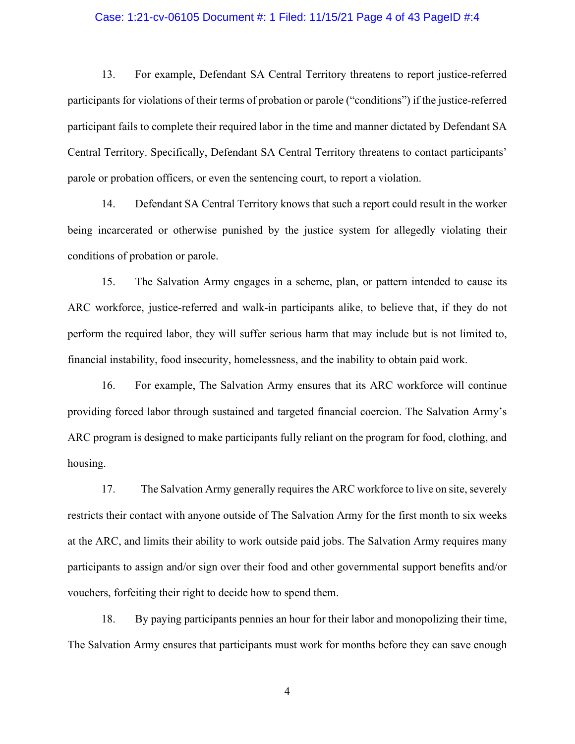#### Case: 1:21-cv-06105 Document #: 1 Filed: 11/15/21 Page 4 of 43 PageID #:4

11.21-cv-06105 Document #: 1 Filed: 11/15/21 Page 4 of 43 PageID #:4<br>13. For example, Defendant SA Central Territory threatens to report justice-referred<br>13. For example, Defendant SA Central Territory threatens to report participants for violations of their terms of probation or parole ("conditions") if the justice-referred Case: 1:21-cv-06105 Document #: 1 Filed: 11/15/21 Page 4 of 43 PageID #:4<br>13. For example, Defendant SA Central Territory threatens to report justice-referred<br>participants for violations of their terms of probation or paro Central Territory. Specifically, Defendant SA Central Territory threatens to contact participants' Case: 1:21-cv-06105 Document #: 1 Filed: 11/15/21 Page 4 of 43 PagelD #:4<br>
13. For example, Defendant SA Central Territory threatens to report justice-referred<br>
participants for violations of their terms of probation or pa The Figure 11:21-cv-06105 Document #: 1 Filed: 11/15/21 Page 4 of 43 PagelD #:4<br>
13. For example, Defendant SA Central Territory threatens to report justice-referred<br>
21. The report is that such a report conditions") if th Case: 1:21-cv-06105 Document #: 1 Filed: 11/15/21 Page 4 of 43 PageID #:4<br>
13. For example, Defendant SA Central Territory threatens to report justice-referred<br>
participants for violations of their terms of probation or pa 13. For example, Defendant SA Central Territory threatens to report justice-referred<br>ants for violations of their terms of probation or parole ("conditions") if the justice-referred<br>ant fails to complete their required lab 13. For example, Defendant SA Central Territory threatens to report justice-referred<br>participants for violations of their terms of probation or parole ("conditions") if the justice-referred<br>participant fails to complete th participants for violations of their terms of probation or parole ("conditions") if the justice-referred<br>participant fails to complete their required labor in the time and mamer dictated by Defendant SA<br>Central Territory.

conditions of probation or parole.

financial instability, food insecurity, homelessness, and the inability to obtain paid work. Territory. Specifically, Defendant SA Central Territory threatens to contact participants'<br>or probation officers, or even the sentencing court, to report a violation.<br>14. Defendant SA Central Territory knows that such a re

parole or probation officers, or even the sentencing court, to report a violation.<br>
14. Defendant SA Central Territory knows that such a report could result in the worker<br>
being incarcerated or otherwise punished by the ju 14. Defendant SA Central Territory knows that such a report could result in the worker<br>being incarcerated or otherwise punished by the justice system for allegedly violating their<br>conditions of probation or parole.<br>15. The housing. 17. The Salvation Army engages in a scheme, plan, or pattern intended to cause its<br>
17. The Salvation Army engages in a scheme, plan, or pattern intended to cause its<br>
11. The required labor, they will suffer serious harm

restricts their contact with anyone outside of The Salvation Army for the first month to six weeks ARC workforce, justice-referred and walk-in participants alike, to believe that, if they do not<br>perform the required labor, they will suffer serious harm that may include but is not limited to,<br>financial instability, food perform the required labor, they will suffer serious harm that may include but is not limited to,<br>financial instability, food insecurity, homelessness, and the inability to obtain paid work.<br>16. For example, The Salvation financial instability, food insecurity, homelessness, and the inability to obtain paid work.<br>
16. For example, The Salvation Army ensures that its ARC workforce will<br>
providing forced labor through sustained and targeted f 16. For example, The Salvation Army ensures that its ARC workforce will continue mg forced labor through sustained and targeted financial coercion. The Salvation Army's ogram is designed to make participants fully reliant

The Salvation Army ensures that participants must work for months before they can save enough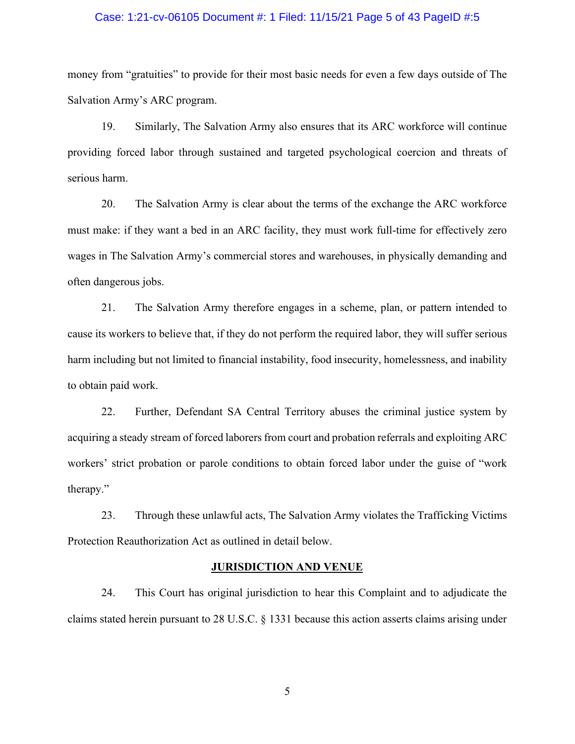#### Case: 1:21-cv-06105 Document #: 1 Filed: 11/15/21 Page 5 of 43 PageID #:5

Case: 1:21-cv-06105 Document #: 1 Filed: 11/15/21 Page 5 of 43 PageID #:5<br>money from "gratuities" to provide for their most basic needs for even a few days outside of The<br>Salvation Army's ARC program.<br>19. Similarly, The Sa Salvation Army's ARC program.

19. Similarly, The Salvation Army also ensures that its ARC workforce will continue for their most basic needs for even a few days outside of The Salvation Army's ARC program.<br>
19. Similarly, The Salvation Army also ensure Case: 1:21-cv-06105 Document #: 1 Filed: 11/15/21 Page 5 of 43 PagelD #:5<br>money from "gratuities" to provide for their most basic needs for even a few days outside of The<br>Salvation Army's ARC program.<br>19. Similarly, The Sa serious harm.

20. The Salvation Army is clear about the terms of the exchange the ARC workfores will continue and mmy's ARC program.<br>
19. Similarly, The Salvation Army also ensures that its ARC workforce will continue the Salvation Army Case: 1:21-cv-06105 Document #: 1 Filed: 11/15/21 Page 5 of 43 PageID #:5<br>money from "gratuities" to provide for their most basic needs for even a few days outside of The<br>Salvation Army's ARC program.<br>19. Similarly, The Sa Case: 1:21-cv-06105 Document *it*: 1 Filed: 11/15/21 Page 5 of 43 PagelD *it*:5<br>money from "gratuities" to provide for their most basic needs for even a few days outside of The<br>Salvation Army's ARC program.<br>19. Similarly, often dangerous jobs. 12. The Salvation Army is considered above, they were a few days outside of The<br>
21. Similarly, The Salvation Army also ensures that its ARC workforce will continue<br>
21. Similarly, The Salvation Army is clear about the ter 19. Similarly, The Salvation Army also ensures that its ARC workforce will continue<br>providing forced labor through sustained and targeted psychological coercion and threats of<br>serious harm.<br>20. The Salvation Army is elear harm.<br>20. The Salvation Army is clear about the terms of the exchange the ARC workforce<br>ake: if they want a bed in an ARC facility, they must work full-time for effectively zero<br>1 The Salvation Army's commercial stores and

cause its workers to believe that, if they do not perform the required labor, they will suffer serious to obtain paid work.

20. The Salvation Army is clear about the terms of the exchange the ARC workforce<br>must make: if they want a bed in an ARC facility, they must work full-time for effectively zero<br>wages in The Salvation Army's commercial sto must make: if they want a bed in an ARC facility, they must work full-time for effectively zero<br>wages in The Salvation Army's commercial stores and warehouses, in physically demanding and<br>often dangerous jobs.<br>21. The Salv therapy." angerous jobs.<br>
21. The Salvation Army therefore engages in a scheme, plan, or pattern intended to<br>
sworkers to believe that, if they do not perform the required labor, they will suffer serious<br>
cluding but not limited to cluding but not limited to financial instability, food insecurity, homelessness, and inability<br>
22. Further, Defendant SA Central Territory abuses the criminal justice system by<br>
22. Further, Defendant SA Central Territory

Protection Reauthorization Act as outlined in detail below.

#### JURISDICTION AND VENUE

claims stated herein pursuant to 28 U.S.C. § 1331 because this action asserts claims arising under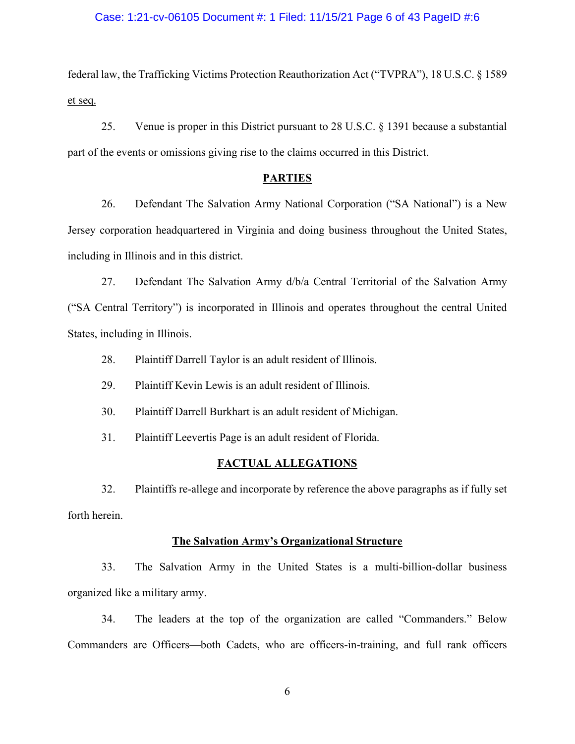#### Case: 1:21-cv-06105 Document #: 1 Filed: 11/15/21 Page 6 of 43 PageID #:6

federal law, the Trafficking Victims Protection Reauthorization Act ("TVPRA"), 18 U.S.C. § 1589 et seq. 25. Venue is proper in this District pursuant to 28 U.S.C. § 1391 because a substantial<br>the events or omissions giving rise to the claims occurred in this District.<br> $\frac{PARTIES}{P}$ 

part of the events or omissions giving rise to the claims occurred in this District.

#### PARTIES

26. 1:21-cv-06105 Document #: 1 Filed: 11/15/21 Page 6 of 43 PagelD #:6<br>
1 alw, the Trafficking Victims Protection Reauthorization Act ("TVPRA"), 18 U.S.C. § 1589<br>
25. Venue is proper in this District pursuant to 28 U.S.C. Jersey corporation headquartered in Virginia and doing business throughout the United States, Case: 1:21-cv-06105 Document #: 1 Filed: 11/15/21 Page 6 of 43 PagelD #<br>
federal law, the Trafficking Victims Protection Reauthorization Act ("TVPRA"), 18 U.S.C<br>
et seq.<br>
25. Venue is proper in this District pursuant to 2 22. Venue is proper in this District pursuant to 28 U.S.C. § 1391 because a substantial<br>25. Venue is proper in this District pursuant to 28 U.S.C. § 1391 because a substantial<br>26. Defendant The Salvation Army National Corp federal law, the Trafficking Victims Protection Reauthorization Act ("TVPRA"), 18 U.S.C. § 1589<br>
25. Venue is proper in this District pursuant to 28 U.S.C. § 1391 because a substantial<br>
part of the events or omissions giv 25. Venue is proper in this District pursuant to 28 U.S.C. § 1391 because *ε* the events or omissions giving rise to the claims occurred in this District.<br> **PARTIES**<br>
26. Defendant The Salvation Army National Corporation The events or omissions giving rise to the claims occurred in this District.<br> **PARTIES**<br>
26. Defendant The Salvation Army National Corporation ("SA National") is a New<br>
corporation headquartered in Virginia and doing busi **EXAMPLES**<br>
26. Defendant The Salvation Army National Corporation ("SA National") is a New<br>
20. corporation headquartered in Virginia and doing business throughout the United States,<br>
27. Defendant The Salvation Army  $d^b$ 26. Defendant The Salvation Army National Corporation ("SA National") is a New<br>corporation headquartered in Virginia and doing business throughout the United States,<br>g in Illinois and in this district.<br>27. Defendant The Sa

States, including in Illinois. 32. Plaintiffs re-allege and incorporate by reference the above paragraphs as if fully setted<br>
32. Plaintiff Darrell Taylor is an adult resident of Illinois.<br>
32. Plaintiff Darrell Taylor is an adult resident of Illinois.

- 
- 
- 

#### FACTUAL ALLEGATIONS

forth herein.

#### The Salvation Army's Organizational Structure

including in Illinois.<br>
28. Plaintiff Darrell Taylor is an adult resident of Illinois.<br>
29. Plaintiff Kevin Lewis is an adult resident of Illinois.<br>
31. Plaintiff Leevertis Page is an adult resident of Michigan.<br>
31. Plain 28. Plaintiff Darrell Taylor is an adult resident of Illinois.<br>
29. Plaintiff Kevin Lewis is an adult resident of Illinois.<br>
30. Plaintiff Darrell Burkhart is an adult resident of Michigan.<br>
31. Plaintiff Leevertis Page is 29. Plaintiff Kevin Lewis is an adult resident of Illinois.<br>
30. Plaintiff Darrell Burkhart is an adult resident of Michigan.<br>
21. Plaintiff Leevertis Page is an adult resident of Florida.<br>
22. Plaintiffs re-allege and inc

Commanders are Officers—both Cadets, who are officers-in-training, and full rank officers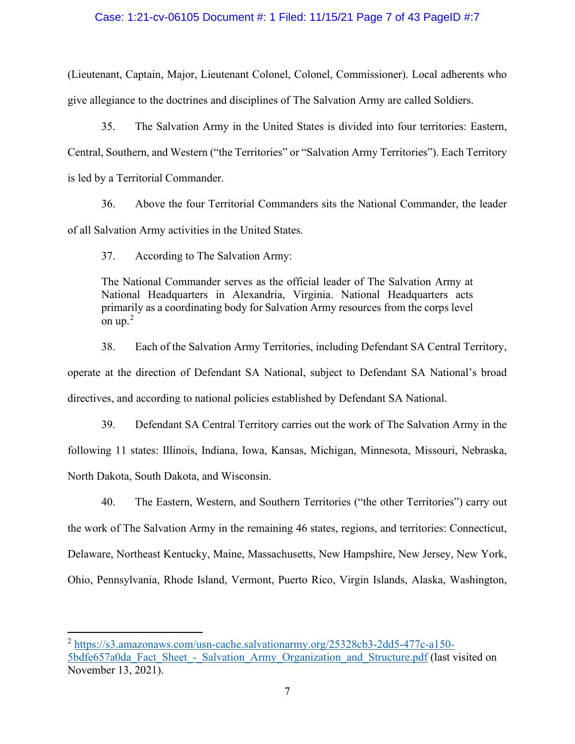#### Case: 1:21-cv-06105 Document #: 1 Filed: 11/15/21 Page 7 of 43 PageID #:7

Case: 1:21-cv-06105 Document #: 1 Filed: 11/15/21 Page 7 of 43 PageID #:7<br>(Lieutenant, Captain, Major, Lieutenant Colonel, Colonel, Commissioner). Local adherents who<br>give allegiance to the doctrines and disciplines of The give allegiance to the doctrines and disciplines of The Salvation Army are called Soldiers.

35. The Salvation Army in the United States is divided into four territories". Local adherents who egiance to the doctrines and disciplines of The Salvation Army are called Soldiers.<br>35. The Salvation Army in the United St Case: 1:21-cv-06105 Document #: 1 Filed: 11/15/21 Page 7 of 43 PagelD #:7<br>
(Lieutenant, Captain, Major, Lieutenant Colonel, Colonel, Commissioner). Local adherents who<br>
give allegiance to the doctrines and disciplines of T Case: 1:21-cv-06105 Document #: 1 Filed: 11/15/21 Page 7 of 43<br>(Lieutenant, Captain, Major, Lieutenant Colonel, Colonel, Commissioner). Lo<br>give allegiance to the doctrines and disciplines of The Salvation Army are calle<br>35 36. 1:21-cv-06105 Document #: 1 Filed: 11/15/21 Page 7 of 43 PagelD #:7<br>
1998. Above the four Territorial Colonel, Colonel, Commissioner). Local adherents who<br>
1998. The Salvation Army in the United States is divided into 237. The National Commander serves as the official Lader of The Salvation Army and National, Captain, Major, Lieutenant Colonel, Colonel, Commissioner). Local and equance to the doctrines and disciplines of The Salvation A mant, Captain, Major, Lieutenant Colonel, Colonel, Commissioner). Local adherents who<br>egiance to the doctrines and disciplines of The Salvation Army are called Soldiers.<br>
35. The Salvation Army in the United States is divi 35. The Salvation Army in the United States is divided into four territories: Eastern, Southern, and Western ("the Territories" or "Salvation Army Territories"). Each Territory or a Territorial Commander.<br>36. Above the fou

of all Salvation Army activities in the United States.

The National Commander serves as the official leader of The Salvation Army at National Headquarters in Alexandria, Virginia. National Headquarters acts on  $up.2$ 

Central, Southern, and Western ("the Territories" or "Salvation Army Territories"). Each Territory<br>is led by a Territorial Commander.<br>36. Above the four Territorial Commanders sits the National Commander, the leader<br>of al directives, and according to national policies established by Defendant SA National. 36. Above the four Territorial Commanders sits the National Commander, the leader<br>alvation Army activities in the United States.<br>37. According to The Salvation Army:<br>The National Commander serves as the official leader of Following 11 states: Illinois, Indiana, Iowa, Kansas, Michigan, Minnesota, Missouri, Nebraska, Social Salvation Army:<br>
The National Commander serves as the official leader of The Salvation Army at National Headquarters in The National Commander serves as the official leader of The Salvation Army at<br>
National Commander serves as the official leader of The Salvation Army at<br>
National Headquarters in Alexandria, Virginia. National Headquarters

41. The National Communder serves as the official leader of The Salvation Army at The National Communder serves as the official leader of The Salvation Army at National Headquarters acts primarily as a coordinating body f the work of The Salvation Army in the remaining 46 states, regions, and territories: Connecticut, Delaware, Northeast Kentucky, Maine, Massachusetts, New Hampshire, New Jersey, New York, 38. Each of the Salvation Army Territories, including Defendant SA Central Territory,<br>operate at the direction of Defendant SA National, subject to Defendant SA National's broad<br>directives, and according to national polici

<sup>&</sup>lt;sup>2</sup> https://s3.amazonaws.com/usn-cache.salvationarmy.org/25328cb3-2dd5-477c-a150-5bdfe657a0da\_Fact\_Sheet -\_Salvation\_Army\_Organization\_and\_Structure.pdf (last visited on November 13, 2021).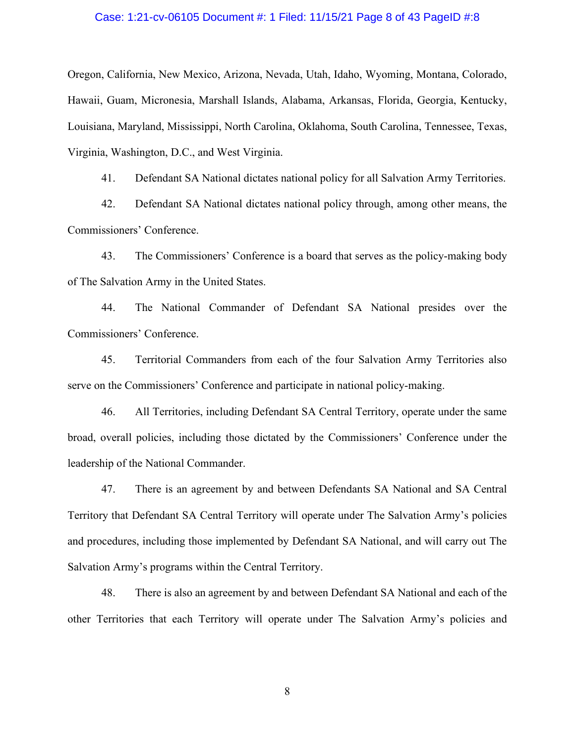#### Case: 1:21-cv-06105 Document #: 1 Filed: 11/15/21 Page 8 of 43 PageID #:8

Oregon, California, New Mexico, Arizona, Nevada, Utah, Idaho, Wyoming, Montana, Colorado, Case: 1:21-cv-06105 Document #: 1 Filed: 11/15/21 Page 8 of 43 PagelD #:8<br>Oregon, California, New Mexico, Arizona, Nevada, Utah, Idaho, Wyoming, Montana, Colorado,<br>Hawaii, Guam, Micronesia, Marshall Islands, Alabama, Arkan Louisiana, Maryland, Mississippi, North Carolina, Oklahoma, South Carolina, Tennessee, Texas, Virginia, Washington, D.C., and West Virginia. 91. date: 1:21-cv-06105 Document #: 1 Filed: 11/15/21 Page 8 of 43 PagelD #:8<br>
5. California, New Mexico, Arizona, Nevada, Utah, Idaho, Wyoming, Montana, Colorado,<br>
6. Guam, Micronesia, Marshall Islands, Alabama, Arkansas, 22. Latifornia, New Mexico, Arizona, Nevada, Utah, Idaho, Wyoming, Montana, Colorado, Culifornia, New Mexico, Arizona, Nevada, Utah, Idaho, Wyoming, Montana, Colorado, Guam, Micronesia, Marshall Islands, Alabama, Arkansas, ase: 1:21-cv-06105 Document #: 1 Filed: 11/15/21 Page 8 of 43 PagelD #:8<br>
California, New Mexico, Arizona, Nevada, Utah, Idaho, Wyoming, Montana, Colorado,<br>
Guam, Micronesia, Marshall Islands, Alabama, Arkansas, Florida, G California, New Mexico, Arizona, Nevada, Utah, Idaho, Wyoming, Montana, Colorado, Guam, Micronesia, Marshall Islands, Alabama, Arkansas, Florida, Georgia, Kentucky, na, Maryland, Mississippi, North Carolina, Oklahoma, Sout na, Maryland, Mississippi, North Carolina, Oklahoma, South Carolina, Tennessee, Texas,<br>a, Washington, D.C., and West Virginia.<br>41. Defendant SA National dictates national policy for all Salvation Army Territories.<br>42. Defe

Commissioners' Conference.

of The Salvation Army in the United States.

Commissioners' Conference.

Virginia, Washington, D.C., and West Virginia.<br>
41. Defendant SA National dictates national policy for all Salvation Army Territories.<br>
42. Defendant SA National dictates national policy through, among other means, the<br>
Co 41. Defendant SA National dictates national policy for all Salvation Army Territories.<br>42. Defendant SA National dictates national policy through, among other means, the<br>sioners' Conference.<br>43. The Commissioners' Conferen 12. Defendant SA National dietates national policy through, among other means, the<br>
14. The Commissioners' Conference is a board that serves as the policy-making body<br>
14. The Commissioners' Conference is a board that serv leadership of the National Commander.

43. The Commissioners' Conference is a board that serves as the policy-making body<br>Salvation Army in the United States.<br>44. The National Commander of Defendant SA National presides over the<br>51. Territorial Commanders from of The Salvation Army in the United States.<br>
44. The National Commander of Defendant SA National presides over the<br>
Commissioners' Conference.<br>
45. Territorial Commanders from each of the four Salvation Army Territories al 44. The National Commander of Defendant SA National presides over the<br>
26. Territorial Commanders from each of the four Salvation Army Territories also<br>
serve on the Commissioners' Conference and participate in national po Salvation Army's programs within the Central Territory. 45. Territorial Commanders from each of the four Salvation Army Territories also<br>the Commissioners' Conference and participate in national policy-making.<br>46. All Territories, including Defendant SA Central Territory, opera serve on the Commissioners' Conference and participate in national policy-making.<br>
46. All Territories, including Defendant SA Central Territory, operate under the same<br>
broad, overall policies, including those dictated b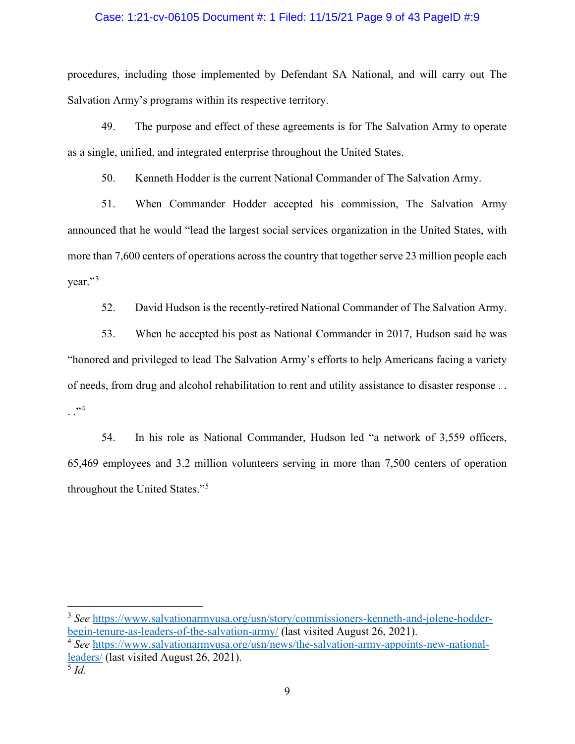#### Case: 1:21-cv-06105 Document #: 1 Filed: 11/15/21 Page 9 of 43 PageID #:9

procedures, including those implemented by Defendant SA National, and will carry out The Case: 1:21-cv-06105 Document #: 1 Filed: 11/15/21 Page 9 of 43 PageID #:9<br>procedures, including those implemented by Defendant SA National, and will carry out The<br>Salvation Army's programs within its respective territory.<br> 49. The purpose and effect of these agreements is for The Salvation Army to operate allow The purpose and effect of these agreements is for The Salvation Army to operate allow metric and integrated enterprise throughout th

as a single, unified, and integrated enterprise throughout the United States.

Frace: 1:21-cv-06105 Document #: 1 Filed: 11/15/21 Page 9 of 43 PageID #:9<br>
Ires, including those implemented by Defendant SA National, and will carry out The<br>
on Army's programs within its respective territory.<br>
49. The p Frace: 1:21-cv-06105 Document #: 1 Filed: 11/15/21 Page 9 of 43 PagelD #:9<br>
ures, including those implemented by Defendant SA National, and will carry out The<br>
n Army's programs within its respective territory.<br>
49. The pu announced that he would "lead the largest social services organization in the United States, with more than 7,600 centers of operations across the country that together serve 23 million people each year."<sup>3</sup> res, including those implemented by Defendant SA National, and will carry out The<br>on Army's programs within its respective territory.<br>49. The purpose and effect of these agreements is for The Salvation Army to operate<br>gle, on Army's programs within its respective territory.<br>
49. The purpose and effect of these agreements is for The Salvation Army to operate<br>
gle, unified, and integrated enterprise throughout the United States.<br>
50. Kenneth H

49. The purpose and effect of these agreements is for The Salvation Army to operate<br>as a single, unified, and integrated enterprise throughout the United States.<br>50. Kenneth Hodder is the current National Commander of The of needs, from drug and alcohol rehabilitation to rent and utility assistance to disaster response . .  $\cdot$  .  $\cdot$  . 51. When Commander Hodder accepted his commission, The Salvation Army<br>ced that he would "lead the largest social services organization in the United States, with<br>an 7,600 centers of operations across the country that toge

65,469 employees and 3.2 million volunteers serving in more than 7,500 centers of operation throughout the United States."<sup>5</sup>

<sup>&</sup>lt;sup>3</sup> See https://www.salvationarmyusa.org/usn/story/commissioners-kenneth-and-jolene-hodderbegin-tenure-as-leaders-of-the-salvation-army/ (last visited August 26, 2021).

<sup>&</sup>lt;sup>4</sup> See https://www.salvationarmyusa.org/usn/news/the-salvation-army-appoints-new-nationalleaders/ (last visited August 26, 2021).  $\frac{5}{1}$  Id.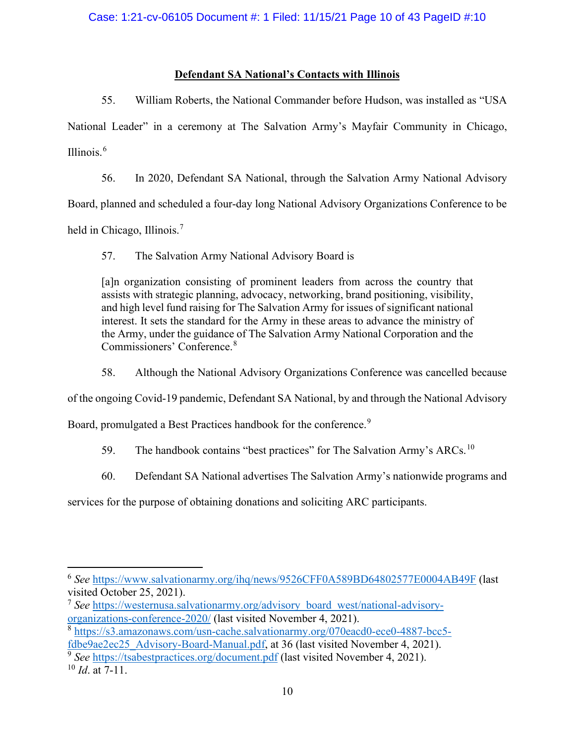#### Defendant SA National's Contacts with Illinois

1:21-cv-06105 Document #: 1 Filed: 11/15/21 Page 10 of 43 PagelD #:10<br> **Defendant SA National's Contacts with Illinois**<br>
55. William Roberts, the National Commander before Hudson, was installed as "USA<br>
1 Leader" in a cere Case: 1:21-cv-06105 Document #: 1 Filed: 11/15/21 Page 10 of 43 PagelD #:10<br>
Defendant SA National's Contacts with Illinois<br>
55. William Roberts, the National Commander before Hudson, was installed as "USA<br>
National Leader Illinois. $6$ 1:21-cv-06105 Document #: 1 Filed: 11/15/21 Page 10 of 43 PagelD #:10<br>
<u>Defendant SA National's Contacts with Illinois</u><br>
55. William Roberts, the National Commander before Hudson, was installed as "USA<br>
1 Leader" in a cere

Board, planned and scheduled a four-day long National Advisory Organizations Conference to be

held in Chicago, Illinois.<sup>7</sup>

SEE 1:21-cv-06105 Document #: 1 Filed: 11/15/21 Page 10 of 43 Pag<br>
<u>Defendant SA National's Contacts with Illinois</u><br>
55. William Roberts, the National Commander before Hudson, was inst<br>
1 Leader" in a ceremony at The Salva [a]n organization consisting of prominent leaders from across the country that assists with strategic planning, advocacy, networking, brand positioning, visibility, and high level fund raising for The Salvation Army for issues of significant national interest. It sets the standard for the Army in these areas to advance the ministry of the Army, under the guidance of The Salvation Army National Corporation and the Commissioners' Conference.<sup>8</sup> <sup>6</sup><br>56. In 2020, Defendant SA National, through the Salvation Army National Advisory<br>56. In 2020, Defendant SA National, through the Salvation Army National Advisory<br>planned and scheduled a four-day long National Advisory of the ongoing Covid-19 pandemic, Defendant SA National, through the Salvation Army National Advisory<br>
Board, planned and scheduled a four-day long National Advisory Organizations Conference to be<br>
held in Chicago, Illino Board, planned and scheduled a four-day long National Advisory Organizations Conference to be<br>
held in Chicago, Illinois.<sup>7</sup><br>
57. The Salvation Army National Advisory Board is<br>
(alm organization consisting of prominent le Finance and schedards a four dary only National Advisory Board is<br>Chicago, Illinois.<sup>7</sup><br>57. The Salvation Army National Advisory Board is<br>[a]n organization consisting of prominent leaders from aeross the country that<br>assis Examples, minds and Amory National Advisory Board is<br>
[a] organization consisting of prominent leaders from across the country that<br>
assists with strategic planning, advocacy, networking, brand positioning, visibility,<br>
a services for the purpose of portional advertises Then Salvation Army's significant and assists with strategic planning, advocacy, networking, brand positioning, visibility, and high level fund raising for The Salvation Arm

<sup>&</sup>lt;sup>6</sup> See https://www.salvationarmy.org/ihq/news/9526CFF0A589BD64802577E0004AB49F (last visited October 25, 2021).

<sup>&</sup>lt;sup>7</sup> See https://westernusa.salvationarmy.org/advisory\_board\_west/national-advisoryorganizations-conference-2020/ (last visited November 4, 2021).

<sup>8</sup> https://s3.amazonaws.com/usn-cache.salvationarmy.org/070eacd0-ece0-4887-bcc5 fdbe9ae2ec25\_Advisory-Board-Manual.pdf, at 36 (last visited November 4, 2021).

<sup>&</sup>lt;sup>9</sup> See https://tsabestpractices.org/document.pdf (last visited November 4, 2021).

 $10$  *Id.* at 7-11.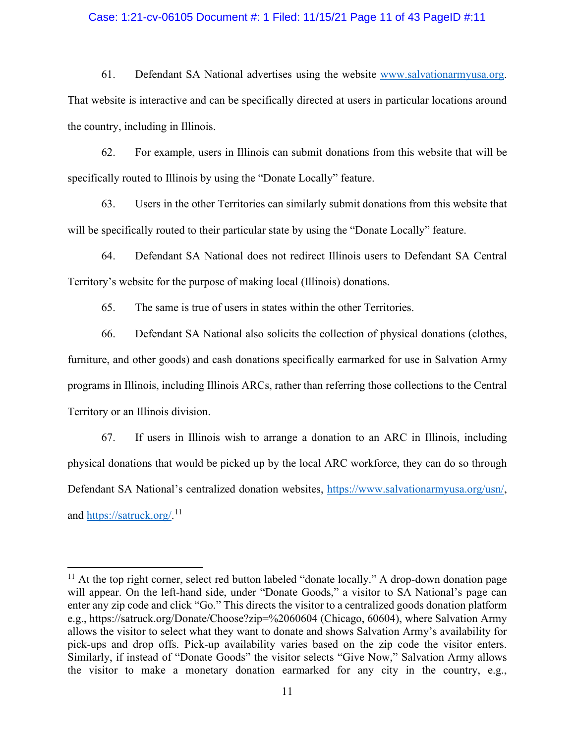#### Case: 1:21-cv-06105 Document #: 1 Filed: 11/15/21 Page 11 of 43 PageID #:11

61. Defendant SA National advertises using the website www.salvationarmyusa.org.<br>That website is interactive and can be specifically directed at users in particular locations around<br>the country, including in Illinois.<br>62. Case: 1:21-cv-06105 Document #: 1 Filed: 11/15/21 Page 11 of 43 PageID #:11<br>61. Defendant SA National advertises using the website www.salvationarmyusa.<br>That website is interactive and can be specifically directed at users 1:21-cv-06105 Document #: 1 Filed: 11/15/21 Page 11 of 43 PagelD #:11<br>61. Defendant SA National advertises using the website www.salvationarmyusa.org.<br>bbsite is interactive and can be specifically directed at users in part 1:21-cv-06105 Document #: 1 Filed: 11/15/21 Page 11 of 43 PagelD #:11<br>
61. Defendant SA National advertises using the website www.salvationarmyusa.org.<br>
bisite is interactive and can be specifically directed at users in pa 1.21-cv-06105 Document #: 1 Filed: 11/15/21 Page 11 of 43 PagelD #:11<br>61. Defendant SA National advertises using the website www.salvationarmyusa.org.<br>bsite is interactive and can be specifically directed at users in parti 61. Defendant SA National advertises using the website <u>www.salvationarmyusa.org</u>.<br>
Ebsite is interactive and can be specifically directed at users in particular locations around<br>
Intry, including in Illinois.<br>
62. For exa

specifically routed to Illinois by using the "Donate Locally" feature.

will be specifically routed to their particular state by using the "Donate Locally" feature.

Territory's website for the purpose of making local (Illinois) donations.

bsite is interactive and can be specifically directed at users in particular locations around<br>thry, including in Illinois.<br>62. For example, users in Illinois can submit donations from this website that will be<br>ally routed furniture, and other goods) and cash donations specifically earmarked for use in Salvation Army programs in Illinois, including Illinois ARCs, rather than referring those collections to the Central Territory or an Illinois division. 63. Users in the other Territories can similarly submit donations from this website that specifically routed to their particular state by using the "Donate Locally" feature.<br>
64. Defendant SA National does not redirect Ill

physical donations that would be picked up by the local ARC workforce, they can do so through Defendant SA National's centralized donation websites, https://www.salvationarmyusa.org/usn/, and https://satruck.org/.<sup>11</sup>

<sup>&</sup>lt;sup>11</sup> At the top right corner, select red button labeled "donate locally." A drop-down donation page will appear. On the left-hand side, under "Donate Goods," a visitor to SA National's page can enter any zip code and click "Go." This directs the visitor to a centralized goods donation platform e.g., https://satruck.org/Donate/Choose?zip=%2060604 (Chicago, 60604), where Salvation Army allows the visitor to select what they want to donate and shows Salvation Army's availability for pick-ups and drop offs. Pick-up availability varies based on the zip code the visitor enters. Similarly, if instead of "Donate Goods" the visitor selects "Give Now," Salvation Army allows the visitor to make a monetary donation earmarked for any city in the country, e.g.,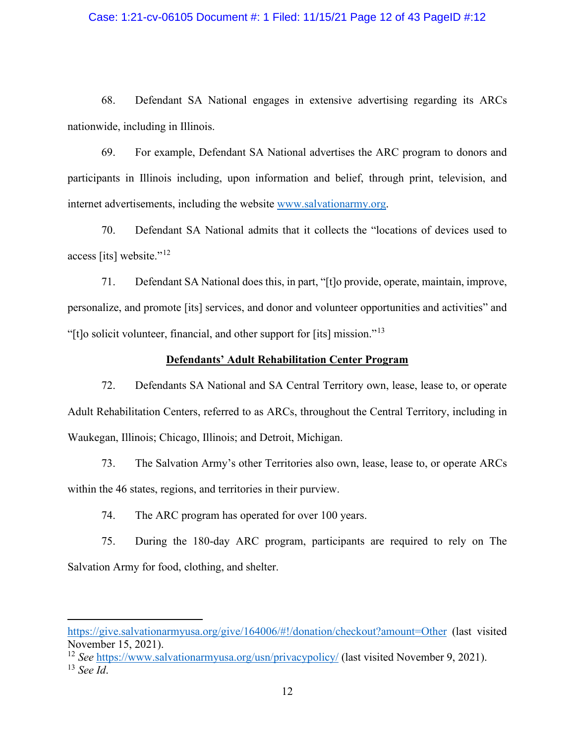#### Case: 1:21-cv-06105 Document #: 1 Filed: 11/15/21 Page 12 of 43 PageID #:12

1:21-cv-06105 Document #: 1 Filed: 11/15/21 Page 12 of 43 PageID #:12<br>68. Defendant SA National engages in extensive advertising regarding its ARCs<br>7. vide, including in Illinois.<br>69. For example, Defendant SA National adv nationwide, including in Illinois.

1:21-cv-06105 Document #: 1 Filed: 11/15/21 Page 12 of 43 PagelD #:12<br>68. Defendant SA National engages in extensive advertising regarding its ARCs<br>7. For example, Defendant SA National advertises the ARC program to donors Case: 1:21-cv-06105 Document #: 1 Filed: 11/15/21 Page 12 of 43 PagelD #:12<br>68. Defendant SA National engages in extensive advertising regarding its ARCs<br>nationwide, including in Illinois.<br>69. For example, Defendant SA Nat Case: 1:21-cv-06105 Document #: 1 Filed: 11/15/21 Page 12 of 43 PageID #:12<br>
68. Defendant SA National engages in extensive advertising regarding its ARCs<br>
nationwide, including in Illinois.<br>
69. For example, Defendant SA

access [its] website."<sup>12</sup>

1968. Defendant SA National engages in extensive advertising regarding its ARCs<br>
1969. For example, Defendant SA National advertises the ARC program to donors and<br>
1969. For example, Defendant SA National advertises the AR 98. Defendant SA National engages in extensive advertising regarding its ARCs<br>
199. For example, Defendant SA National advertises the ARC program to donors and<br>
199. For example, Defendant SA National advertises the ARC p 68. Defendant SA National engages in extensive advertising regarding its ARCs<br>nationwide, including in Illinois.<br>69. For example, Defendant SA National advertises the ARC program to donors and<br>participants in Illinois incl in Illinois.<br>
ample, Defendant SA National advertises the ARC program to donors and<br>
s including, upon information and belief, through print, television, and<br>
ts, including the website www.salvationarmy.org.<br>
lant SA Natio 69. For example, Defendant SA National advertises the ARC program to donors and<br>ants in Illinois including, upon information and belief, through print, television, and<br>advertisements, including the website <u>www.salvationar</u> participants in Illinois including, upon information and belief, through print, television, and<br>internet advertisements, including the website <u>www.salvationarmy.org</u>.<br>70. Defendant SA National admits that it collects the internet advertisements, including the website <u>www.salvationarmy.org</u>.<br>
70. Defendant SA National admits that it collects the "locations of devices used to<br>
access [its] website.<sup>r-12</sup><br>
71. Defendant SA National does this 70. Defendant SA National admits that it collects the "locations of devices used to its] website."<sup>12</sup><br>
71. Defendant SA National does this, in part, "[t]o provide, operate, maintain, improve,<br>
lize, and promote [its] serv 71. Defendant SA National does this, in part, "[t]o provide, operate, main<br>
lize, and promote [its] services, and donor and volunteer opportunities and a<br>
licit volunteer, financial, and other support for [its] mission."<sup>1</sup>

Iize, and promote [its] services, and donor and volunteer opportunities and activities" and<br>
Ideit volunteer, financial, and other support for [its] mission."<sup>13</sup><br> **Defendants' Adult Rehabilitation Center Program**<br>
72. Def

within the 46 states, regions, and territories in their purview.

Salvation Army for food, clothing, and shelter.

https://give.salvationarmyusa.org/give/164006/#!/donation/checkout?amount=Other (last visited November 15, 2021).

<sup>&</sup>lt;sup>12</sup> See https://www.salvationarmyusa.org/usn/privacypolicy/ (last visited November 9, 2021).  $13$  See Id.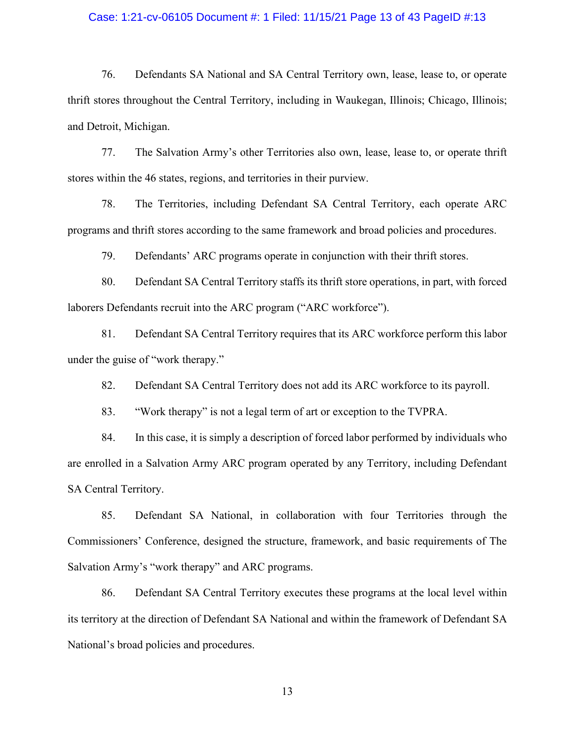#### Case: 1:21-cv-06105 Document #: 1 Filed: 11/15/21 Page 13 of 43 PageID #:13

1:21-cv-06105 Document #: 1 Filed: 11/15/21 Page 13 of 43 PageID #:13<br>76. Defendants SA National and SA Central Territory own, lease, lease to, or operate<br>ores throughout the Central Territory, including in Waukegan, Illin Case: 1:21-cv-06105 Document #: 1 Filed: 11/15/21 Page 13 of 43 PagelD #:13<br>
76. Defendants SA National and SA Central Territory own, lease, lease to, or operate<br>
thrift stores throughout the Central Territory, including i and Detroit, Michigan. 17. The Salvation Army's other Territories also own, lease, lease to, or operate ores throughout the Central Territory, including in Waukegan, Illinois; Chicago, Illinois; Chicago, Illinois; Chicago, Illinois; Chicago, Ill Case: 1:21-cv-06105 Document #: 1 Filed: 11/15/21 Page 13 of 43 Pag<br>
76. Defendants SA National and SA Central Territory own, lease, lease<br>
thrift stores throughout the Central Territory, including in Waukegan, Illinois; C 1:21-cv-06105 Document #: 1 Filed: 11/15/21 Page 13 of 43 PagelD #:13<br>
76. Defendants SA National and SA Central Territory own, lease, lease to, or operate<br>
ores throughout the Central Territory, including in Waukegan, Ill Case: 1:21-cv-06105 Document #: 1 Filed: 11/15/21 Page 13 of 43 PageID #:13<br>
76. Defendants SA National and SA Central Territory own, lease, lease to, or operate<br>
thrift stores throughout the Central Territory, including i 1:21-cv-06105 Document #: 1 Filed: 11/15/21 Page 13 of 43 PagelD #:13<br>
76. Defendants SA National and SA Central Territory own, lease, lease to, or operate<br>
ores throughout the Central Territory, including in Waukegan, Ill 10. Defendants SA National and SA Central Territory own, lease, lease to, or operate<br>
10. The Salvation Army's other Territories also own, lease, lease to, or operate<br>
10. Michigan.<br>
10. The Salvation Army's other Territor 16. Defendants SA National and SA Central Territory own, lease, lease to, or operate<br>thrift stores throughout the Central Territory, including in Waukegan, Illinois; Chicago, Illinois;<br>and Detroit, Michigan.<br>77. The Salvat ores throughout the Central Territory, including in Waukegan, Illinois; Chieago, Illinois;<br>
Froit, Michigan.<br>
77. The Salvation Army's other Territories also own, lease, lease to, or operate thrift<br>
vithin the 46 states, r

The Salvation Army's other Territories also own, lease, lease to, or operate thrift<br>
stithin the 46 states, regions, and territories in their purview.<br>
The Territories, including Defendant SA Central Territory, each operat

under the guise of "work therapy."

within the 46 states, regions, and territories in their purview.<br>
78. In Territories, including Defendant SA Central Territory, each operate ARC<br>
188. In Territories, and therapy to the same framework and broad policies an The Territories, including Defendant SA Central Territory, each operate ARC<br>
188. In the States according to the same framework and broad policies and procedures.<br>
199. Defendants' ARC programs operate in conjunction with programs and thrift stores according to the same framework and broad policies and procedures.<br>
79. Defendant SA Central Territory staffs its thrift store operations, in part, with forced<br>
laborers Defendants recruit into t SA Central Territory.

80. Defendant SA Central Territory staffs its thrift store operations, in part, with forced<br>
8 Defendants recruit into the ARC program ("ARC workforce").<br>
81. Defendant SA Central Territory requires that its ARC workforce Iaborers Defendants recruit into the ARC program ("ARC workforce").<br>
81. Defendant SA Central Territory requires that its ARC workforce perform this labor<br>
under the guise of "work therapy."<br>
82. Defendant SA Central Terri 81. Defendant SA Central Territory requires that its ARC workforce perform this labor under the guise of "work therapy."<br>
82. Defendant SA Central Territory does not add its ARC workforce to its payroll.<br>
83. "Work therapy is explise of "work therapy."<br>
82. Defendant SA Central Territory does not add its ARC workforce to its payroll.<br>
83. "Work therapy" is not a legal term of art or exception to the TVPRA.<br>
84. In this case, it is simply a d

its territory at the direction of Defendant SA National and within the framework of Defendant SA National's broad policies and procedures.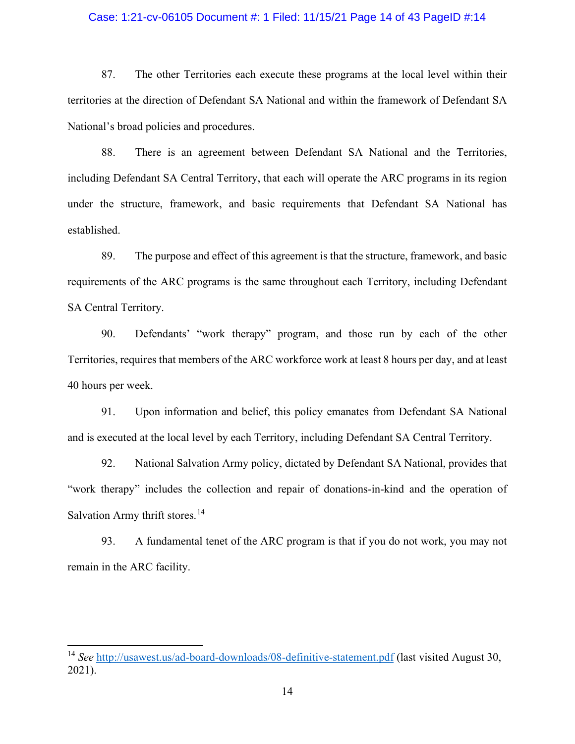#### Case: 1:21-cv-06105 Document #: 1 Filed: 11/15/21 Page 14 of 43 PageID #:14

87. The other Territories each execute these programs at the local level within their<br>87. The other Territories each execute these programs at the local level within their<br>es at the direction of Defendant SA National and w territories at the direction of Defendant SA National and within the framework of Defendant SA National's broad policies and procedures.

1:21-cv-06105 Document #: 1 Filed: 11/15/21 Page 14 of 43 PagelD #:14<br>87. The other Territories each execute these programs at the local level within their<br>es at the direction of Defendant SA National and within the framew Case: 1:21-cv-06105 Document #: 1 Filed: 11/15/21 Page 14 of 43 PagelD #:14<br>87. The other Territories each execute these programs at the local level within their<br>territories at the direction of Defendant SA National and wi under the structure, framework, and basic requirements that Defendant SA National has established. se: 1:21-cv-06105 Document #: 1 Filed: 11/15/21 Page 14 of 43 PagelD #:14<br>87. The other Territories each execute these programs at the local level within their<br>cs at the direction of Defendant SA National and within the fr 87. The other Territories each execute these programs at the local level within their<br>territories at the direction of Defendant SA National and within the framework of Defendant SA<br>National's broad policies and procedures. es at the direction of Defendant SA National and within the framework of Defendant SA<br>
1's broad policies and procedures.<br>
88. There is an agreement between Defendant SA National and the Territories,<br>
99. Defendant SA Cent National's broad policies and procedures.<br>
88. There is an agreement between Defendant SA National and the Territories,<br>
including Defendant SA Central Territory, that each will operate the ARC programs in its region<br>
unde ig Defendant SA Central Territory, that each will operate the ARC programs in its region<br>the structure, framework, and basic requirements that Defendant SA National has<br>bed.<br>S9. The purpose and effect of this agreement is

SA Central Territory. under the structure, framework, and basic requirements that Defendant SA National has<br>established.<br>89. The purpose and effect of this agreement is that the structure, framework, and basic<br>requirements of the ARC programs i Free Med.<br>
99. The purpose and effect of this agreement is that the structure, framework, and basic<br>
ments of the ARC programs is the same throughout each Territory, including Defendant<br>
1712 Territory.<br>
90. Defendants' " % 89. The purpose and effect of this agreement is that the structure, framework, and basic<br>requirements of the ARC programs is the same throughout each Territory, including Defendant<br>SA Central Territory.<br>90. Defendants'

40 hours per week.

Salvation Army thrift stores.<sup>14</sup> 1799. Defendants' "work therapy" program, and those run by each of the other<br>ies, requires that members of the ARC workforce work at least 8 hours per day, and at least<br>s per week.<br>91. Upon information and belief, this pol

remain in the ARC facility.

<sup>&</sup>lt;sup>14</sup> See http://usawest.us/ad-board-downloads/08-definitive-statement.pdf (last visited August 30, 2021).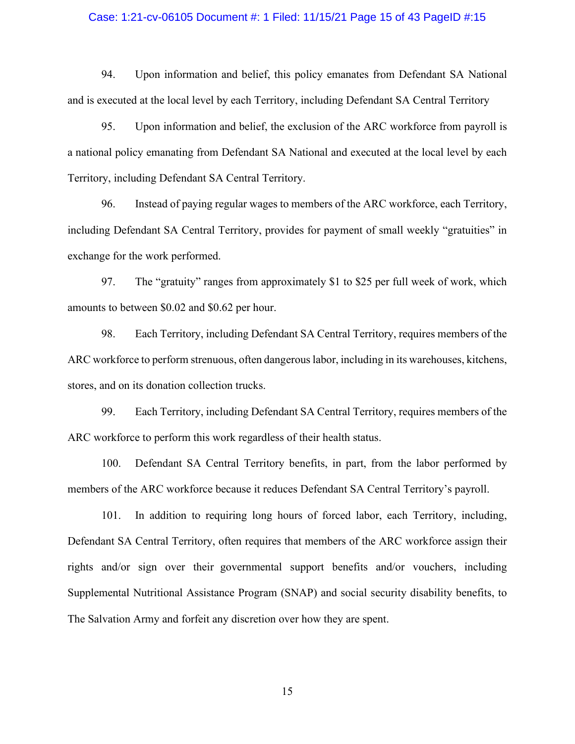#### Case: 1:21-cv-06105 Document #: 1 Filed: 11/15/21 Page 15 of 43 PageID #:15

1:21-cv-06105 Document #: 1 Filed: 11/15/21 Page 15 of 43 PageID #:15<br>94. Upon information and belief, this policy emanates from Defendant SA National<br>195. Upon information and belief, the exclusion of the ARC workforce fr

Case: 1:21-cv-06105 Document #: 1 Filed: 11/15/21 Page 15 of 43 PagelD #:15<br>94. Upon information and belief, this policy emanates from Defendant SA National<br>and is executed at the local level by each Territory, including D 195. 1:21-cv-06105 Document #: 1 Filed: 11/15/21 Page 15 of 43 PagelD #:15<br>94. Upon information and belief, this policy emanates from Defendant SA National<br>195. Upon information and belief, the exclusion of the ARC workfor a national policy emanating from Defendant SA National and executed at the local level by each Territory, including Defendant SA Central Territory. 1:21-cv-06105 Document #: 1 Filed: 11/15/21 Page 15 of 43 PagelD #:15<br>94. Upon information and belief, this policy emanates from Defendant SA National<br>xecuted at the local level by each Territory, including Defendant SA Ce Case: 1:21-cv-06105 Document #: 1 Filed: 11/15/21 Page 15 of 43 PageID #:15<br>
94. Upon information and belief, this policy emanates from Defendant SA National<br>
and is executed at the local level by each Territory, including 94. Upon information and belief, this policy emanates from Defendant SA National<br>exceuted at the local level by each Territory, including Defendant SA Central Territory<br>95. Upon information and belief, the exclusion of the 94. Upon information and belief, this policy emanates from Defendant SA National<br>and is executed at the local level by each Territory, including Defendant SA Central Territory<br>95. Upon information and belief, the exclusion xecuted at the local level by each Territory, including Defendant SA Central Territory<br>95. Upon information and belief, the exclusion of the ARC workforce from payroll is<br>all policy emanating from Defendant SA National and 95. Upon information and belief, the exclusion of the ARC workforce from payroll is<br>a national policy emanating from Defendant SA National and exceuted at the local level by each<br>Territory, including Defendant SA Central

exchange for the work performed.

stores, and on its donation collection trucks. 99. Including Defendant SA Central Territory.<br>
96. Instead of paying regular wages to members of the ARC workforce, each Territory,<br>
99. Defendant SA Central Territory, provides for payment of small weekly "gratuities" in<br> 96. Instead of paying regular wages to members of the ARC workforce, each Territory, including Defendant SA Central Territory, provides for payment of small weekly "gratuities" in exchange for the work performed.<br>97. The " 19 Defendant SA Central Territory, provides for payment of small weekly "gratuities" in<br>19 e for the work performed.<br>197. The "gratuity" ranges from approximately \$1 to \$25 per full week of work, which<br>198. Is also between exchange for the work performed.<br>
97. The "gratuity" ranges from approximately \$1 to \$25 per full week of work, which<br>
amounts to between \$0.02 and \$0.62 per hour.<br>
98. Each Territory, including Defendant SA Central Territ

97. The "gratuity" ranges from approximately \$1 to \$25 per full week of work, which<br>sto between \$0.02 and \$0.62 per hour.<br>98. Each Territory, including Defendant SA Central Territory, requires members of the<br>orkforce to pe amounts to between \$0.02 and \$0.62 per hour.<br>
98. Each Territory, including Defendant SA Central Territory, requires members of the<br>
ARC workforce to perform strenuous, often dangerous labor, including in its warehouses, k 98. Each Territory, including Defendant SA Central Territory, requires members of the<br>
ARC workforce to perform strenuous, often dangerous labor, including in its warehouses, kitchens,<br>
stores, and on its donation collecti ARC workforce to perform strenuous, often dangerous labor, including in its warehouses, kitchens,<br>stores, and on its donation collection trucks.<br>99. Each Territory, including Defendant SA Central Territory, requires member stores, and on its donation collection trucks.<br>
99. Each Territory, including Defendant SA Central Territory, requires membe<br>
ARC workforce to perform this work regardless of their health status.<br>
100. Defendant SA Central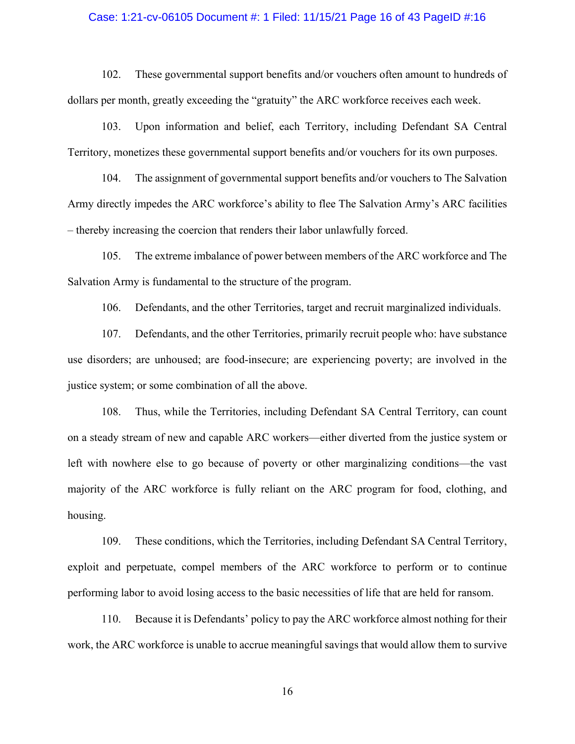#### Case: 1:21-cv-06105 Document #: 1 Filed: 11/15/21 Page 16 of 43 PageID #:16

1121-cv-06105 Document #: 1 Filed: 11/15/21 Page 16 of 43 PageID #:16<br>102. These governmental support benefits and/or vouchers often amount to hundreds of<br>per month, greatly exceeding the "gratuity" the ARC workforce recei dollars per month, greatly exceeding the "gratuity" the ARC workforce receives each week. 103. Increase: 1:21-cv-06105 Document #: 1 Filed: 11/15/21 Page 16 of 43 PagelD #:16<br>102. These governmental support benefits and/or vouchers often amount to hundreds of<br>per month, greatly exceeding the "gratuity" the ARC

Case: 1:21-cv-06105 Document #: 1 Filed: 11/15/21 Page 16 of 43 PageID #:16<br>
102. These governmental support benefits and/or vouchers often amount to hundreds of<br>
dollars per month, greatly exceeding the "gratuity" the ARC 104. These governmental support benefits and/or vouchers often amount to hundreds of<br>102. These governmental support benefits and/or vouchers often amount to hundreds of<br>107. These governmental support benefits and/or vouc Army directly impedes the ARC workforce's ability to flee The Salvation Army's ARC facilities Case: 1:21-cv-06105 Document #: 1 Filed: 11/15/21 Page 16 of 43 PagelD #:10<br>102. These governmental support benefits and/or vouchers often amount to hundred<br>allars per month, greatly exceeding the "gratuity" the ARC workfo 1.21-cv-06105 Document #: 1 Filed: 11/15/21 Page 16 of 43 PagelD #:16<br>
102. These governmental support benefits and/or vouchers often amount to hundreds of<br>
per month, greatly execcding the "gratuity" the ARC workforce rec 102. These governmental support benefits and/or vouchers often amount to hundreds of<br>dollars per month, greatly exceeding the "gratuity" the ARC workforce receives each week.<br>103. Upon information and belief, each Territor 102. These governmental support benefits and/or vouchers often amount to hundreds of<br>per month, greatly exceeding the "gratuity" the ARC workforce receives each week.<br>103. Upon information and belief, each Territory, inclu per month, greatly execeding the "gratuity" the ARC workforce receives each week.<br>
103. Upon information and belief, each Territory, including Defendant SA Central<br>
2, monetizes these governmental support benefits and/or v

use disorders; are unhoused; are food-insecure; are experiencing poverty; are involved in the justice system; or some combination of all the above.

104. The assignment of governmental support benefits and/or vouchers to The Salvation<br>lirectly impedes the ARC workforce's ability to flee The Salvation Army's ARC facilities<br>y increasing the cocreion that renders their la on a steady stream of new and capable ARC workers—either diverted from the justice system or left with nowhere else to go because of poverty or other marginalizing conditions—the vast 105. The extreme imbalance of power between members of the ARC workforce and The<br>Salvation Army is fundamental to the structure of the program.<br>106. Defendants, and the other Territories, target and recruit marginalized in housing. 106. Defendants, and the other Territories, target and recruit marginalized individuals.<br>
107. Defendants, and the other Territories, primarily recruit people who: have substance<br>
orders; are unhoused; are food-insecure; a use disorders; are unhoused; are food-insecure; are experiencing poverty; are involved in the justice system; or some combination of all the above.<br>
108. Thus, while the Territories, including Defendant SA Central Territor system; or some combination of all the above.<br>
108. Thus, while the Territories, including Defendant SA Central Territory, can count<br>
ady stream of new and capable ARC workers—either diverted from the justice system or<br>
h 108. Thus, while the Territories, including Defendant SA Central Territory, can count<br>on a steady stream of new and capable ARC workers cither diverted from the justice system or<br>left with nowhere else to go because of pov

exploit and perpetuate, compel members of the ARC workforce to perform or to continue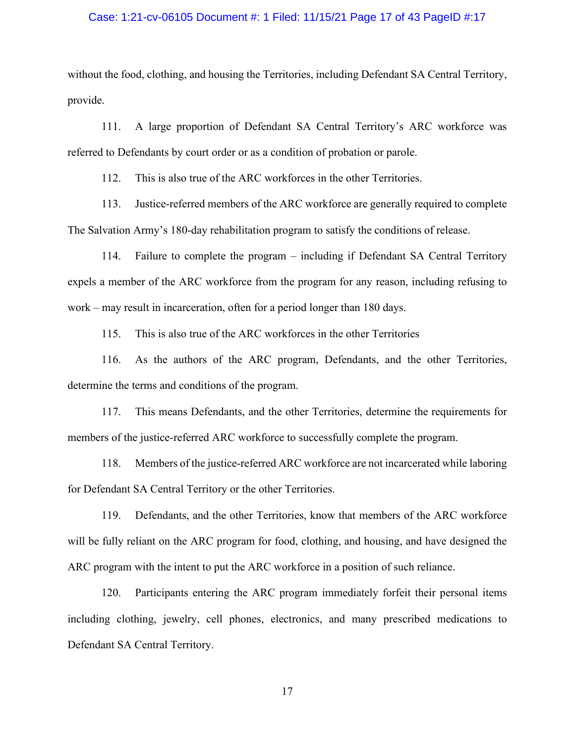#### Case: 1:21-cv-06105 Document #: 1 Filed: 11/15/21 Page 17 of 43 PageID #:17

Case: 1:21-cv-06105 Document #: 1 Filed: 11/15/21 Page 17 of 43 PageID #:17<br>without the food, clothing, and housing the Territories, including Defendant SA Central Territory,<br>provide.<br>111. A large proportion of Defendant S provide. 11. A large proportion of Defendant SA Central Territory,<br>
111. A large proportion of Defendant SA Central Territory's ARC workforce was<br>
11. A large proportion of Defendant SA Central Territory's ARC workforce was<br>
11. A Case: 1:21-cv-06105 Document #: 1 Filed: 11/15/21 Page 17 of 43 PagelD #:17<br>without the food, clothing, and housing the Territories, including Defendant SA Central Territory,<br>provide.<br>111. A large proportion of Defendant S 1121-cv-06105 Document #: 1 Filed: 11/15/21 Page 17 of 43 PagelD #:17<br>
the food, clothing, and housing the Territories, including Defendant SA Central Territor<br>
111. A large proportion of Defendant SA Central Territory's A 113. Justice-referred members of the ARC workforce are generally required members of the ARC work force was the Defendant SA Central Territory, and housing the Territories, including Defendant SA Central Territory, and to

Case: 1:21-cv-06105 Document #: 1 Filed: 11/15/21 Page 17 of 43 PagelD #:17<br>
without the food, clothing, and housing the Territories, including Defendant SA Central Territory,<br>
provide.<br>
111. A large proportion of Defenda 1.21-cv-06105 Document #: 1 Filed: 11/15/21 Page 17 of 43 PagelD #:17<br>
the food, clothing, and housing the Territories, including Defendant SA Central Territory,<br>
111. A large proportion of Defendant SA Central Territory's without the food, elothing, and housing the Territories, including Defendant SA Central Territory,<br>provide.<br>
111. A large proportion of Defendant SA Central Territory's ARC workforce was<br>
referred to Defendants by court or without the food, clothing, and housing the Territories, including Defendant SA Central Terprovide.<br>
111. A large proportion of Defendant SA Central Territory's ARC workforce<br>
112. This is also true of the ARC workforces i 211. A large proportion of Defendant SA Central Territory's ARC workforce was<br>
110. Defendants by court order or as a condition of probation or parole.<br>
112. This is also true of the ARC workforces in the other Territories 111. A large proportion of Defendant SA Central Territory's ARC workforce was<br>
110 Defendants by court order or as a condition of probation or parole.<br>
112. This is also true of the ARC workforces in the other Territories. referred to Defendants by court order or as a condition of probation or parole.<br>
112. This is also true of the ARC workforces in the other Territories.<br>
113. Justice-referred members of the ARC workforce are generally requ 112. This is also true of the ARC workforees in the other Territories.<br>
113. Justice-referred members of the ARC workforee are generally required to complete<br>
113. Justice-referred members of the ARC workforee are generall 113. Justice-referred members of the ARC workforce are generally required to complete<br>The Salvation Army's 180-day rehabilitation program to satisfy the conditions of release.<br>
114. Failure to complete the program – includ vation Army's 180-day rehabilitation program to satisfy the conditions of release.<br>
114. Failure to complete the program – including if Defendant SA Central Territory<br>
119. This is also true of the ARC workforces in the ot 114. Failure to complete the program – including if Defendant SA Central Territory<br>expels a member of the ARC workforce from the program for any reason, including refusing to<br>work – may result in incarceration, often for a

119. This is also the characteristic member of the ARC workforce from the program for any reason, including refusing to may result in incarceration, often for a period longer than 180 days.<br>
115. This is also true of the A work – may result in incarceration, often for a period longer than 180 days.<br>
115. This is also true of the ARC workforces in the other Territories<br>
116. As the authors of the ARC program, Defendants, and the other Territo 115. This is also true of the ARC workforces in the other Territories<br>
116. As the authors of the ARC program, Defendants, and the other Territories,<br>
determine the terms and conditions of the program.<br>
117. This means Def 116. As the authors of the ARC program, Defendants, and the other Territories,<br>ne the terms and conditions of the program.<br>
117. This means Defendants, and the other Territories, determine the requirements for<br>
15 of the j

including clothing, jewelry, cell phones, electronics, and many prescribed medications to Defendant SA Central Territory.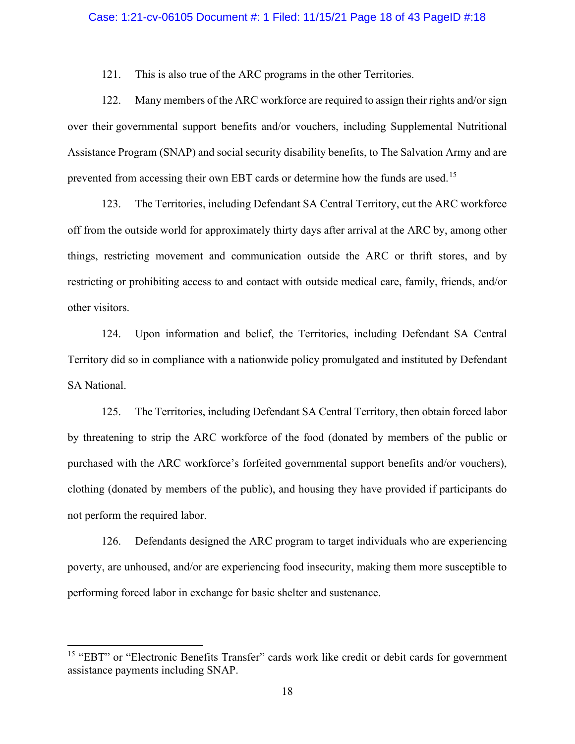#### Case: 1:21-cv-06105 Document #: 1 Filed: 11/15/21 Page 18 of 43 PageID #:18

121. This is also true of the ARC programs in the other Territories.<br>
121. This is also true of the ARC programs in the other Territories.<br>
122. Many members of the ARC workforce are required to assign their rights and/or<br> 121. This is also true of the ARC programs in the other Territories.<br>
121. This is also true of the ARC programs in the other Territories.<br>
122. Many members of the ARC workforce are required to assign their rights and/or Case: 1:21-cv-06105 Document #: 1 Filed: 11/15/21 Page 18 of 43 PageID #:18<br>121. This is also true of the ARC programs in the other Territories.<br>122. Many members of the ARC workforce are required to assign their rights a Case: 1:21-cv-06105 Document #: 1 Filed: 11/15/21 Page 18 of 43 PageID #:18<br>121. This is also true of the ARC programs in the other Territories.<br>122. Many members of the ARC workforce are required to assign their rights a Case: 1:21-cv-06105 Document #: 1 Filed: 11/15/21 Page 18 of 43 PagelD #:18<br>
121. This is also true of the ARC programs in the other Territories.<br>
122. Many members of the ARC workforce are required to assign their rights 1:21-cv-06105 Document #: 1 Filed: 11/15/21 Page 18 of 43 PagelD #:18<br>
121. This is also true of the ARC programs in the other Territories.<br>
122. Many members of the ARC workforce are required to assign their rights and/or

Case: 1:21-cv-06105 Document #: 1 Filed: 11/15/21 Page 18 of 43 PageID #:18<br>121. This is also true of the ARC programs in the other Territories.<br>122. Many members of the ARC workforce are required to assign their rights a Case: 1:21-cv-06105 Document #: 1 Filed: 11/15/21 Page 18 of 43 PagelD #:18<br>
121. This is also true of the ARC programs in the other Territories.<br>
122. Many members of the ARC workforce are required to assign their rights 121. This is also true of the ARC programs in the other Territories.<br>
122. Many members of the ARC workforce are required to assign their rights and/or sign<br>
over their governmental support benefits and/or vouehers, includ other visitors. 122. Many members of the ARC workforce are required to assign their rights and/or sign<br>eir governmental support benefits and/or vouchers, including Supplemental Nutritional<br>nee Program (SNAP) and social security disability over their governmental support benefits and/or vouchers, including Supplemental Nutritional<br>
Assistance Program (SNAP) and social sceurity disability benefits, to The Salvation Army and are<br>
prevented from accessing their ed from accessing their own EBT cards or determine how the funds are used.<sup>15</sup><br>
123. The Territories, including Defendant SA Central Territory, cut the ARC workforce<br>
the outside world for approximately thirty days after a 123. The Territories, including Defendant SA Central Territory, cut the ARC workforce<br>off from the outside world for approximately thirty days after arrival at the ARC by, among other<br>things, restricting movement and commu

SA National.

off from the outside world for approximately thirty days after arrival at the ARC by, among other<br>things, restricting movement and communication outside the ARC or thrift stores, and by<br>restricting or prohibiting access to things, restricting movement and communication outside the ARC or thrift stores, and by<br>restricting or prohibiting access to and contact with outside medical care, family, friends, and/or<br>other visitors.<br>124. Upon informat restricting or prohibiting access to and contact with outside medical care, family, friends, an other visitors.<br>
124. Upon information and belief, the Territories, including Defendant SA Certeritory did so in compliance wi 124. Upon information and belief, the Territories, including Defendant SA Central<br>124. Upon information and belief, the Territories, including Defendant SA Central<br>125. The Territories, including Defendant SA Central Terri 124. Upon information and belief, the Territories, including Defendant SA Central<br>Territory did so in compliance with a nationwide policy promulgated and instituted by Defendant<br>SA National.<br>125. The Territories, including Territory did so in compliance with a nationwide policy promulgated and instituted by<br>SA National.<br>125. The Territories, including Defendant SA Central Territory, then obtain for<br>by threatening to strip the ARC workforce o 12.1. The Termories, mentaling Detentant DrV Central Termory, then botain tored tables<br>by threatening to strip the ARC workforce of the food (donated by members of the public or<br>purchased with the ARC workforce's forfeited by threatening to strip the ARC workforce of the food (donated by members of the purchased with the ARC workforce's forfeited governmental support benefits and/or velothing (donated by members of the public), and housing t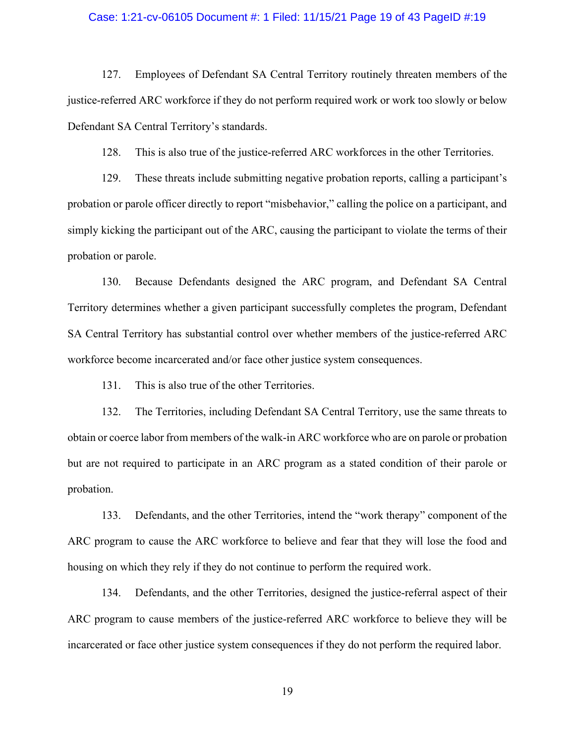#### Case: 1:21-cv-06105 Document #: 1 Filed: 11/15/21 Page 19 of 43 PageID #:19

127. Employees of Defendant SA Central Territory routinely threaten members of the referred ARC workforce if they do not perform required work or work too slowly or below ant SA Central Territory's standards. Case: 1:21-cv-06105 Document #: 1 Filed: 11/15/21 Page 19 of 43 PagelD #:19<br>127. Employees of Defendant SA Central Territory routinely threaten members of the<br>justice-referred ARC workforce if they do not perform required Defendant SA Central Territory's standards. 128. Intertack the justice-referred ARC workforees in the other presents of the referred ARC workforee if they do not perform required work or work too slowly or below ant SA Central Territory's standards.<br>128. This is als

129. Employees of Defendant SA Central Territory routinely threaten members of the referred ARC workforee if they do not perform required work or work too slowly or below referred ARC workforee if they do not perform requi probation or parole officer directly to report "misbehavior," calling the police on a participant, and simply kicking the participant out of the ARC, causing the participant to violate the terms of their probation or parole. 127. Employees of Defendant SA Central Territory routinely threaten members of the<br>referred ARC workforce if they do not perform required work or work too slowly or below<br>ant SA Central Territory's standards.<br>128. This is

127. Employees of Defendant SA Central Territory routinely threaten members of the justice-referred ARC workforce if they do not perform required work or work too slowly or below<br>Defendant SA Central Territory's standards. interior and SA Central Territory's standards.<br>
Defendant SA Central Territory's standards.<br>
128. This is also true of the justice-referred ARC workforces in the other Territories.<br>
129. These threats include submitting ne Defendant SA Central Territory's standards.<br>
128. This is also true of the justice-referred ARC workforces in the other Territories.<br>
129. These threats include submitting negative probation reports, calling a participant' 128. This is also true of the justice-referred ARC workforces in the other<br>129. These threats include submitting negative probation reports, calling<br>on or parole officer directly to report "misbehavior," calling the police 129. These threats include submitting negative probation reports, calling a participant's<br>on or parole officer directly to report "misbehavior," calling the police on a participant, and<br>kicking the participant out of the A probation or parole officer directly to report "misbehavior," calling the police on a participant, and<br>simply kicking the participant out of the ARC, causing the participant to violate the terms of their<br>probation or parol simply kicking the participant out of the ARC, causing the participant to violate the terms of their<br>probation or parole.<br>
130. Because Defendants designed the ARC program, and Defendant SA Central<br>
Territory determines wh 130. Because Defendants designed the ARC program, and Defendant SA Central y determines whether a given participant successfully completes the program, Defendant tral Territory has substantial control over whether members

probation. Territory determines whether a given participant successfully completes the program, Defendant SA Central Territory has substantial control over whether members of the justice-referred ARC workforce become incarcerated and rec become incarecrated and/or face other justice system consequences.<br>
131. This is also true of the other Territories.<br>
132. The Territories, including Defendant SA Central Territory, use the same threats to<br>
132. The Te 131. This is also true of the other Territories.<br>
132. The Territories, including Defendant SA Central Territory, use the same threats to<br>
132. The Territories, including Defendant SA Central Territory, use the same threat

housing on which they rely if they do not continue to perform the required work.

incarcerated or face other justice system consequences if they do not perform the required labor.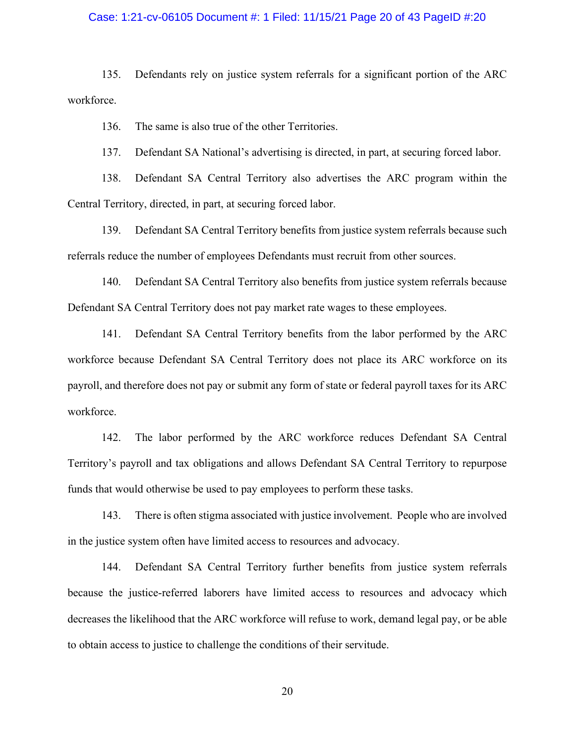#### Case: 1:21-cv-06105 Document #: 1 Filed: 11/15/21 Page 20 of 43 PageID #:20

135. Defendants rely on justice system referrals for a significant portion of the ARC<br>135. Defendants rely on justice system referrals for a significant portion of the ARC<br>136. The same is also true of the other Territorie workforce. Summer 1:21-cv-06105 Document #: 1 Filed: 11/15/21 Page 20 of 43 Page<br>135. Defendants rely on justice system referrals for a significant portion<br>The same is also true of the other Territories.<br>137. Defendant SA National's 137. Defendants rely on justice system referrals for a significant portion of the ARC<br>135. Defendants rely on justice system referrals for a significant portion of the ARC<br>136. The same is also true of the other Territorie 138. Defendants rely on justice system referrals for a significant portion of the ARC<br>135. Defendants rely on justice system referrals for a significant portion of the ARC<br>136. The same is also true of the other Territorie 139. Defendant SA Central Territory benefits for a significant portion of the ARC<br>135. Defendants rely on justice system referrals for a significant portion of the ARC<br>136. The same is also true of the other Territories.<br>1

Central Territory, directed, in part, at securing forced labor.

Case: 1:21-cv-06105 Document *#*: 1 Filed: 11/15/21 Page 20 of 43 PagelD *#*:20<br>
135. Defendants rely on justice system referrals for a significant portion of the ARC<br>
workforce.<br>
136. The same is also true of the other Te 135. Defendants rely on justice system referrals for a significant portion of the ARC<br>rec.<br>136. The same is also true of the other Territories.<br>137. Defendant SA National's advertising is directed, in part, at securing for

135. Defendants rely on justice system referrals for a significant portion of the ARC<br>workforee.<br>136. The same is also true of the other Territories.<br>137. Defendant SA National's advertising is directed, in part, at securi rec.<br>
136. The same is also true of the other Territories.<br>
137. Defendant SA National's advertising is directed, in part, at securing forced labor.<br>
138. Defendant SA Central Territory also advertises the ARC program with 136. The same is also true of the other Territories.<br>
137. Defendant SA National's advertising is directed, in part, at securing forced labor.<br>
138. Defendant SA Central Territory also advertises the ARC program within the 137. Defendant SA National's advertising is directed, in part, at securing forced labor.<br>
138. Defendant SA Central Territory also advertises the ARC program within the<br>
Central Territory, directed, in part, at securing fo workforce. Territory, directed, in part, at securing forced labor.<br>
139. Defendant SA Central Territory benefits from justice system referrals because such<br>
steduce the number of employees Defendants must recruit from other sources.<br> 139. Defendant SA Central Territory benefits from justice system referrals because such<br>referrals reduce the number of employees Defendants must recruit from other sources.<br>140. Defendant SA Central Territory also benefits 140. Defendant SA Central Territory also benefits from justice system referrals because<br>ant SA Central Territory does not pay market rate wages to these employees.<br>141. Defendant SA Central Territory benefits from the labo 141. Defendant SA Central Territory benefits from the labor performed by the ARC<br>rece because Defendant SA Central Territory does not place its ARC workforce on its<br>and therefore does not pay or submit any form of state or

funds that would otherwise be used to pay employees to perform these tasks.

in the justice system often have limited access to resources and advocacy.

workforce because Defendant SA Central Territory does not place its ARC workforce on its<br>payroll, and therefore does not pay or submit any form of state or federal payroll taxes for its ARC<br>workforce.<br>142. The labor perfor decreases the likelihood that the ARC workforce will refuse to work, demand legal pay, or be able to obtain access to justice to challenge the conditions of their servitude.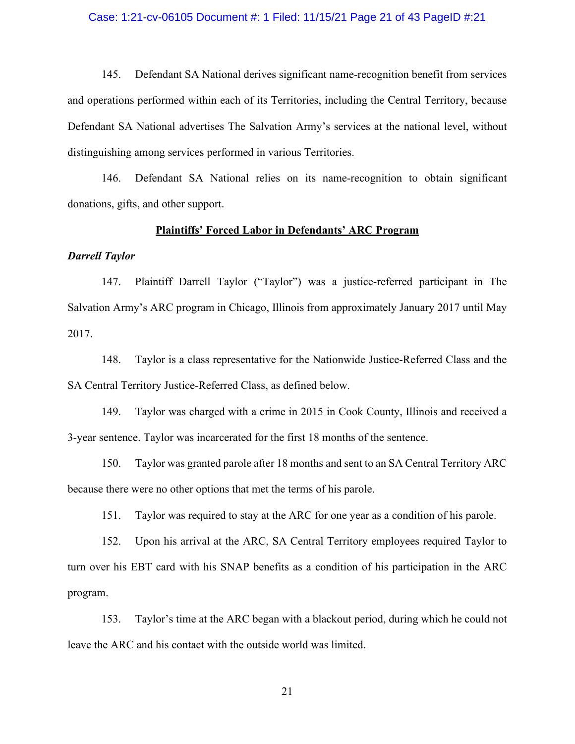#### Case: 1:21-cv-06105 Document #: 1 Filed: 11/15/21 Page 21 of 43 PageID #:21

1:21-cv-06105 Document #: 1 Filed: 11/15/21 Page 21 of 43 PageID #:21<br>145. Defendant SA National derives significant name-recognition benefit from services<br>prations performed within each of its Territories, including the C Case: 1:21-cv-06105 Document #: 1 Filed: 11/15/21 Page 21 of 43 PagelD #:21<br>145. Defendant SA National derives significant name-recognition benefit from services<br>and operations performed within each of its Territories, inc Case: 1:21-cv-06105 Document #: 1 Filed: 11/15/21 Page 21 of 43 PagelD #:21<br>145. Defendant SA National derives significant name-recognition benefit from services<br>and operations performed within each of its Territories, inc distinguishing among services performed in various Territories. 145. Defendant SA National derives significant name-recognition benefit from services<br>
145. Defendant SA National derives significant name-recognition benefit from services<br>
146. Defendant sach of its Territories, includin 145. Defendant SA National derives significant name-recognition benefit from services<br>parations performed within each of its Territories, including the Central Territory, because<br>ant SA National advertises The Salvation Ar 145. Defendant SA National derives significant name-recognition benefit from services<br>and operations performed within each of its Territories, including the Central Territory, because<br>Defendant SA National advertises The S

donations, gifts, and other support.

#### Plaintiffs' Forced Labor in Defendants' ARC Program

#### Darrell Taylor

2017. 2148. Taylor is a class representative for the Nationwide Justice-Referred Class and received a class representative for the National relies on its name-recognition to obtain significant and spin and other support.<br> **Plain** 146. Defendant SA National relies on its name-recognition to obtain significant<br>
149. Taylor<br>
149. Plaintiffs' Forced Labor in Defendants' ARC Program<br>
149. Plaintiff Darrell Taylor ("Taylor") was a justice-referred partic **Plaintiffs' Forced Labor in Defendants' ARC Program**<br>
147. Plaintiff Darrell Taylor ("Taylor") was a justice-referred participant in The<br>
2017 until May<br>
148. Taylor is a class representative for the Nationwide Justice-Re 147. Plaintiff Darrell Taylor ("Taylor") was a justice-referred participant in The<br>
2017 until May<br>
148. Taylor is a class representative for the Nationwide Justice-Referred Class and the<br>
148. Taylor is a class representa

SA Central Territory Justice-Referred Class, as defined below.

3-year sentence. Taylor was incarcerated for the first 18 months of the sentence.

because there were no other options that met the terms of his parole.

152. In a strategy and the ARC, SA Central Territory United ARC, SA Central Territory Justice-Referred Class, as defined below.<br>
148. Taylor is a class representative for the Nationwide Justice-Referred Class and the threa 2017.<br>
148. Taylor is a class representative for the Nationwide Justice-Referred Class and the<br>
2015 A Central Territory Justice-Referred Class, as defined below.<br>
149. Taylor was charged with a crime in 2015 in Cook Count program. Itral Territory Justice-Referred Class, as defined below.<br>
149. Taylor was charged with a crime in 2015 in Cook County, Illinois and received a<br>
sentence. Taylor was incarcerated for the first 18 months of the sentence.<br>
1

leave the ARC and his contact with the outside world was limited.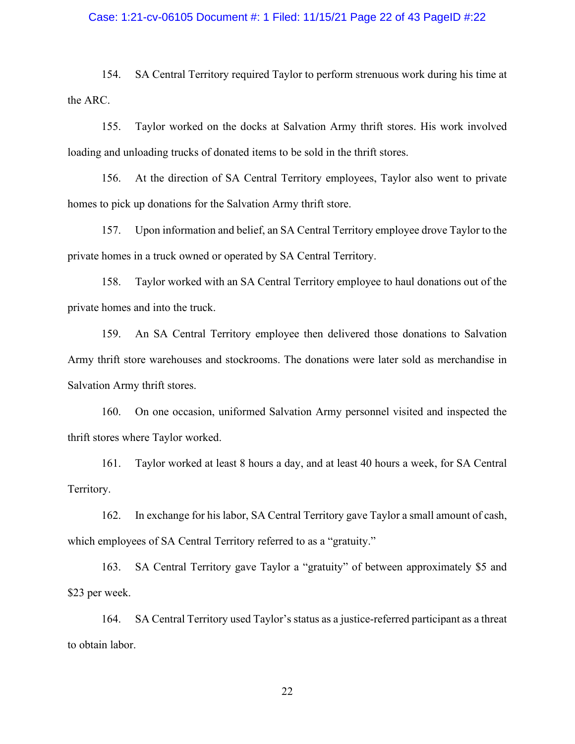#### Case: 1:21-cv-06105 Document #: 1 Filed: 11/15/21 Page 22 of 43 PageID #:22

154. SA Central Territory required Taylor to perform strenuous work during his time at C.<br>155. Taylor worked on the docks at Salvation Army thrift stores. His work involved the ARC.

154. SA Central Territory required Taylor to perform strenuous work during his time at SA Central Territory required Taylor to perform strenuous work during his time at C.<br>C. Taylor worked on the docks at Salvation Army th loading and unloading trucks of donated items to be sold in the thrift stores.

1166. At the direction of SA Central Territory employees. The direction of SA Central Territory required Taylor to perform strenuous work during his time at C.<br>155. Taylor worked on the docks at Salvation Army thrift store homes to pick up donations for the Salvation Army thrift store. 157. Upon information and belief, an SA Central Territory employee to haul donations out of the Monscontrol of the Monscontrol and unloading trucks of donated items to be sold in the thrift stores. His work involved and un

private homes in a truck owned or operated by SA Central Territory.

154. SA Central Territory required Taylor to perform strenuous work during his time at C.<br>
155. Taylor worked on the docks at Salvation Army thrift stores. His work involved<br>
and unloading trucks of donated items to be sol private homes and into the truck.

155. Taylor worked on the docks at Salvation Army thrift stores. His work involved<br>and unloading trucks of donated items to be sold in the thrift stores.<br>156. At the direction of SA Central Territory employees, Taylor also Army thrift store warehouses and stockrooms. The donations were later sold as merchandise in Salvation Army thrift stores. 166. At the direction of SA Central Territory employees, Taylor also went to private<br>to pick up donations for the Salvation Army thrift store.<br>157. Upon information and belief, an SA Central Territory employee drove Taylor 157. Upon information and belief, an SA Central Territory employee drove Taylor to the<br>homes in a truck owned or operated by SA Central Territory.<br>158. Taylor worked with an SA Central Territory employee to haul donations 158. Taylor worked with an SA Central Territory employee to haul donations out of the<br>homes and into the truck.<br>159. An SA Central Territory employee then delivered those donations to Salvation<br>hrift store warehouses and s 159. An SA Central Territory employee then delivered those donations to Salvation<br>
hrift store warehouses and stockrooms. The donations were later sold as merchandise in<br>
160. On one occasion, uniformed Salvation Army pers

thrift stores where Taylor worked.

Territory.

which employees of SA Central Territory referred to as a "gratuity."

\$23 per week. 164. SA Central Territory used Taylor's status as a justice-referred participant as a threat particle and interest where Taylor worked at least 8 hours a day, and at least 40 hours a week, for SA Central Territory.<br>The Tay 160. On one occasion, uniformed Salvation Army personnel visite<br>thrift stores where Taylor worked.<br>161. Taylor worked at least 8 hours a day, and at least 40 hours a w<br>Territory.<br>162. In exchange for his labor, SA Central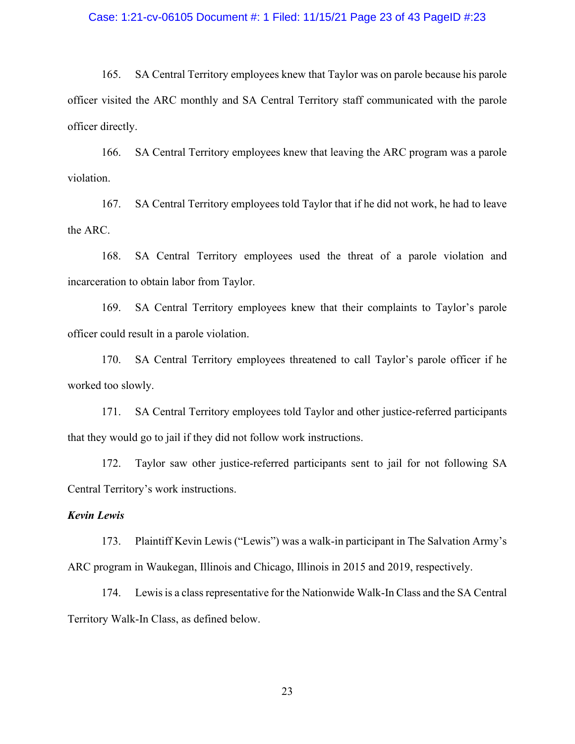#### Case: 1:21-cv-06105 Document #: 1 Filed: 11/15/21 Page 23 of 43 PageID #:23

165. SA Central Territory employees knew that Taylor was on parole because his parole visited the ARC monthly and SA Central Territory staff communicated with the parole directly. officer visited the ARC monthly and SA Central Territory staff communicated with the parole officer directly. 1:21-cv-06105 Document #: 1 Filed: 11/15/21 Page 23 of 43 PagelD #:23<br>165. SA Central Territory employees knew that Taylor was on parole because his parole<br>visited the ARC monthly and SA Central Territory staff communicate 1:21-cv-06105 Document #: 1 Filed: 11/15/21 Page 23 of 43 PagelD #:23<br>165. SA Central Territory employees knew that Taylor was on parole because his parole<br>visited the ARC monthly and SA Central Territory staff communicate 1.21-cv-06105 Document #: 1 Filed: 11/15/21 Page 23 of 43 PagelD #:23<br>
165. SA Central Territory employees knew that Taylor was on parole because his parole<br>
166. SA Central Territory employees knew that leaving the ARC pr 165. SA Central Territory employees knew that Taylor was on parole because his parole visited the ARC monthly and SA Central Territory staff communicated with the parole directly.<br>
166. SA Central Territory employees knew

violation. directly.<br>
166. SA Central Territory employees knew that leaving the ARC program was a parole<br>
167. SA Central Territory employees told Taylor that if he did not work, he had to leave<br>
168. SA Central Territory employees u

the ARC.

incarceration to obtain labor from Taylor.

officer could result in a parole violation.

worked too slowly.

167. SA Central Territory employees told Taylor that if he did not work, he had to leave<br>
17. SA Central Territory employees used the threat of a parole violation and<br>
170. SA Central Territory employees knew that their co that they would go to jail if they did not follow work instructions. 172. Taylor saw other justice-referred participants sent to jail for not following SA Central Territory employees knew that their complaints to Taylor's parole could result in a parole violation.<br>
170. SA Central Territory

Central Territory's work instructions.

#### Kevin Lewis

169. SA Central Territory employees knew that their complaints to Taylor's parole could result in a parole violation.<br>170. SA Central Territory employees threatened to call Taylor's parole officer if he too slowly.<br>171. SA officer could result in a parole violation.<br>
170. SA Central Territory employees threatened to call Taylor's parole officer if he<br>
worked too slowly.<br>
171. SA Central Territory employees told Taylor and other justice-refer 170. SA Central Territory employees threatened to call Taylor's parole officer if he<br>too slowly.<br>171. SA Central Territory employees told Taylor and other justice-referred participants<br>y would go to jail if they did not fo

Territory Walk-In Class, as defined below.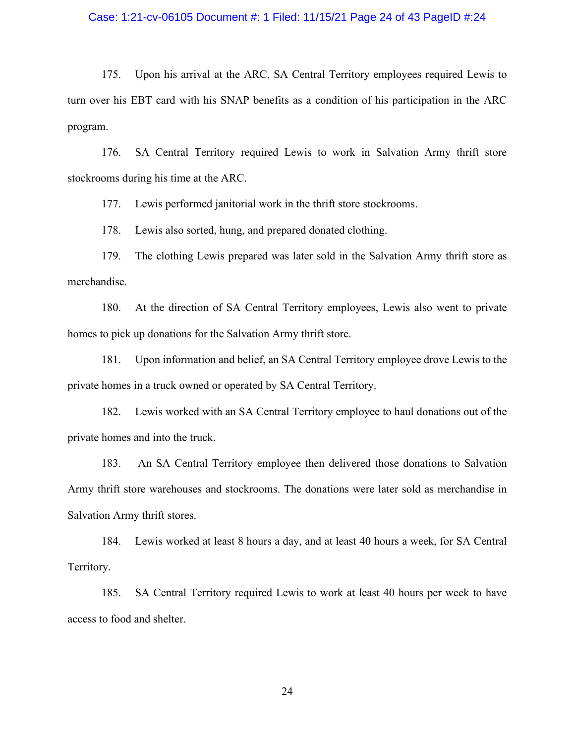#### Case: 1:21-cv-06105 Document #: 1 Filed: 11/15/21 Page 24 of 43 PageID #:24

175. Upon his arrival at the ARC, SA Central Territory employees required Lewis to the BBT card with his SNAP benefits as a condition of his participation in the ARC n. Case: 1:21-cv-06105 Document #: 1 Filed: 11/15/21 Page 24 of 43 PagelD #:24<br>175. Upon his arrival at the ARC, SA Central Territory employees required Lewis to<br>turn over his EBT card with his SNAP benefits as a condition of program. 1176. Upon his arrival at the ARC, SA Central Territory employees required Lewis to the BBT card with his SNAP benefits as a condition of his participation in the ARC a.<br>176. SA Central Territory required Lewis to work in 179. Lewis also sorted, hung, and prepared donated clothing.<br>
179. Upon his arrival at the ARC, SA Central Territory employees required Lewis to<br>
175. Upon his arrival at the ARC, SA Central Territory employees required Le 178. Upon his arrival at the ARC, SA Central Territory employees required er his EBT card with his SNAP benefits as a condition of his participation in the EBT card with his SNAP benefits as a condition of his participatio 179. Lewis also sold in the clothing Lewis prepared was later sold in the direction of this EBT card with his SNAP benefits as a condition of his participation in the ARC or his EBT card with his SNAP benefits as a conditi 175. Upon his arrival at the ARC, SA Central Territory employees required Lewis to<br>er his EBT card with his SNAP benefits as a condition of his participation in the ARC<br>n.<br>176. SA Central Territory required Lewis to work i

stockrooms during his time at the ARC.

merchandise.

homes to pick up donations for the Salvation Army thrift store.

176. SA Central Territory required Lewis to work in Salvation Army thrift store<br>oms during his time at the ARC.<br>177. Lewis performed janitorial work in the thrift store stockrooms.<br>178. Lewis also sorted, hung, and prepare private homes in a truck owned or operated by SA Central Territory. 192. Lewis performed janitorial work in the thrift store stockrooms.<br>
172. Lewis also sorted, hung, and prepared donated elothing.<br>
179. The elothing Lewis prepared was later sold in the Salvation Army thrift store as<br>
180

private homes and into the truck.

178. Lewis also sorted, hung, and prepared donated elothing.<br>
179. The elothing Lewis prepared was later sold in the Salvation Army thrift store as<br>
180. At the direction of SA Central Territory employees, Lewis also went Army thrift store warehouses and stockrooms. The donations were later sold as merchandise in Salvation Army thrift stores. 180. At the direction of SA Central Territory employees, Lewis also went to private<br>to pick up donations for the Salvation Army thrift store.<br>181. Upon information and belief, an SA Central Territory employee drove Lewis t 181. Upon information and belief, an SA Central Territory employee drove Lewis to the homes in a truck owned or operated by SA Central Territory.<br>
182. Lewis worked with an SA Central Territory employee to haul donations o

Territory.

access to food and shelter.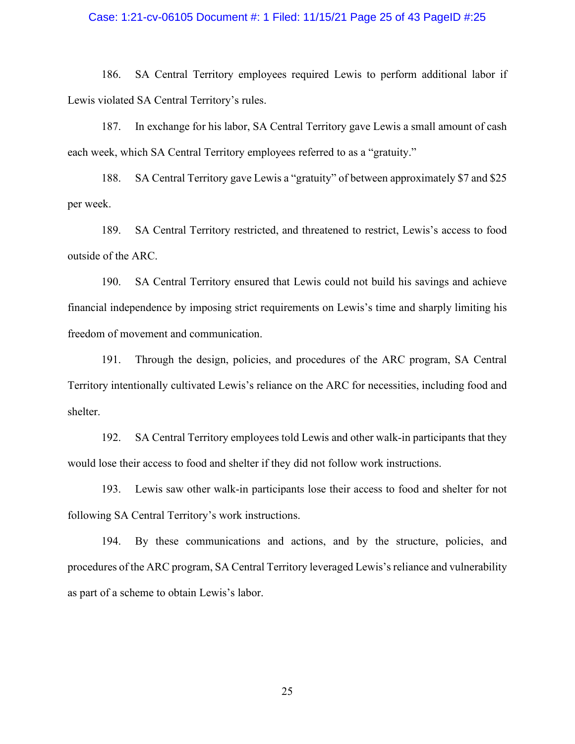#### Case: 1:21-cv-06105 Document #: 1 Filed: 11/15/21 Page 25 of 43 PageID #:25

186. SA Central Territory employees required Lewis to perform additional labor if indicated SA Central Territory's rules.<br>186. SA Central Territory's rules.<br>187. In exchange for his labor, SA Central Territory gave Lewis a Lewis violated SA Central Territory's rules. 188. It is a set that the solution of the set of 43 Page 25 of 43 Page ID #:25<br>186. SA Central Territory employees required Lewis to perform additional labor if<br>187. In exchange for his labor, SA Central Territory gave Lew 188. SA Central Territory employees required Lewis to perform additional labor if riolated SA Central Territory's rules.<br>
188. SA Central Territory's rules.<br>
187. In exchange for his labor, SA Central Territory gave Lewis 189. 1.21-cv-06105 Document #: 1 Filed: 11/15/21 Page 25 of 43 PagelD #:25<br>
186. SA Central Territory employees required Lewis to perform additional labor if<br>
iviolated SA Central Territory's rules.<br>
187. In exchange for h

each week, which SA Central Territory employees referred to as a "gratuity."

per week.

outside of the ARC.

190. SA Central Territory employees required Lewis to perform additional labor if<br>
190. In exchange for his labor, SA Central Territory gave Lewis a small amount of eash<br>
191. In exchange for his labor, SA Central Territor 186. SA Central Territory employees required Lewis to perform additional labor if<br>
1. Lewis violated SA Central Territory's rules.<br>
187. In exchange for his labor, SA Central Territory gave Lewis a small amount of cash<br>
ac freedom of movement and communication. 187. In exchange for his labor, SA Central Territory gave Lewis a small amount of eash<br>eek, which SA Central Territory employees referred to as a "gratuity."<br>188. SA Central Territory gave Lewis a "gratuity" of between app 192. SA Central Territory restricted, and threatened to restrict, Lewis's access to food of the ARC.<br>
190. SA Central Territory ensured that Lewis could not build his savings and achieve<br>
11 independence by imposing strict 199. SA Central Territory ensured that Lewis could not build his savings and achieve<br>190. SA Central Territory ensured that Lewis could not build his savings and achieve<br>1 independence by imposing strict requirements on Le 190. SA Central Territory ensured that Lewis could not build his safinancial independence by imposing strict requirements on Lewis's time and sfreedom of movement and communication.<br>191. Through the design, policies, and p

Territory intentionally cultivated Lewis's reliance on the ARC for necessities, including food and shelter.

would lose their access to food and shelter if they did not follow work instructions.

1 independence by imposing strict requirements on Lewis's time and sharply limiting his<br>191. Through the design, policies, and procedures of the ARC program, SA Central<br>191. Through the design, policies, and procedures of freedom of movement and communication.<br>
191. Through the design, policies, and procedures of the ARC program, SA Central<br>
Territory intentionally cultivated Lewis's reliance on the ARC for necessities, including food and<br> as part of a scheme to obtain Lewis's labor.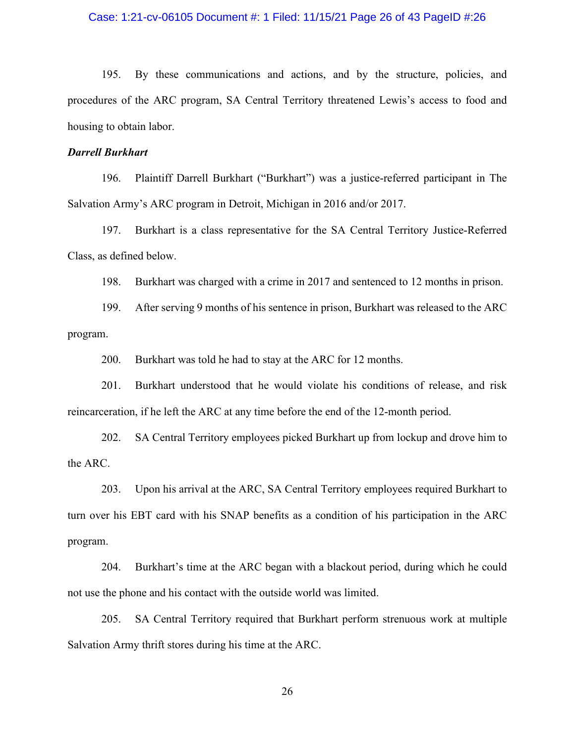#### Case: 1:21-cv-06105 Document #: 1 Filed: 11/15/21 Page 26 of 43 PageID #:26

195. By these communications and actions, and by the structure, policies, and area of the ARC program, SA Central Territory threatened Lewis's access to food and to obtain labor. Case: 1:21-cv-06105 Document #: 1 Filed: 11/15/21 Page 26 of 43 PagelD #:26<br>195. By these communications and actions, and by the structure, policies, and<br>procedures of the ARC program, SA Central Territory threatened Lewis housing to obtain labor. 196. Pure 1:21-cv-06105 Document #: 1 Filed: 11/15/21 Page 26 of 43 PagelD #:26<br>195. By these communications and actions, and by the structure, policies, and<br>196. Burkhart ("Burkhart") was a justice-referred participant in Case: 1:21-cv-06105 Document #: 1 Filed: 11/15/21 Page 26 of 43 PagelD #:26<br>195. By these communications and actions, and by the structure, policies, and<br>procedures of the ARC program, SA Central Territory threatened Lewis 198. Burkhart is a class representative for the SA Central Territory Justice-Referred<br>195. By these communications and actions, and by the structure, policies, and<br>196. Burkhart<br>196. Plaintiff Darrell Burkhart ("Burkhart") 195. By these communications and actions, and by the structure, policies, and<br>
198. Burkhart was charged With a contral Territory threatened Lewis's access to food and<br>
196. Burkhart<br>
196. Plaintiff Darrell Burkhart ("Burk 195. By these communications and actions, and by the structure, policies, and<br>tres of the ARC program, SA Central Territory threatened Lewis's access to food and<br>to obtain labor.<br>**Burkhart**<br>196. Plaintiff Darrell Burkhart

#### Darrell Burkhart

Class, as defined below.

program. 201. Burkhart was told he had to stay at the ARC for 12 months.<br>
2016. Plaintiff Darrell Burkhart ("Burkhart") was a justice-referred participant is<br>
2016. Burkhart is a class representative for the SA Central Territory Ju **Burkhart**<br>
196. Plaintiff Darrell Burkhart ("Burkhart") was a justice-referred participant in The<br>
2016 Amery's ARC program in Detroit, Michigan in 2016 and/or 2017.<br>
197. Burkhart is a class representative for the SA Cen 202. SA Central Territory employees picked Burkhart up from lockup and drove him to chemical Subsementative for the SA Central Territory Justice-Referred as defined below.<br>
199. Burkhart was charged with a crime in 2017 an

reincarceration, if he left the ARC at any time before the end of the 12-month period.

the ARC.

198. Burkhart was charged with a crime in 2017 and sentenced to 12 months in prison.<br>199. After serving 9 months of his sentence in prison, Burkhart was released to the ARC<br>199. After serving 9 months of his sentence in pr 198. Burkhart was charged with a crime in 2017 and sentenced to 12 months in prison.<br>
199. After serving 9 months of his sentence in prison, Burkhart was released to the ARC<br>
program.<br>
200. Burkhart was told he had to stay program. 200. Burkhart was told he had to stay at the ARC for 12 months.<br>
201. Burkhart understood that he would violate his conditions of release, and risk veration, if he left the ARC at any time before the end of the 12-month pe 201. Burkhart understood that he would violate his conditions of release, and risk exeration, if he left the ARC at any time before the end of the 12-month period.<br>202. SA Central Territory employees picked Burkhart up fro

not use the phone and his contact with the outside world was limited.

Salvation Army thrift stores during his time at the ARC.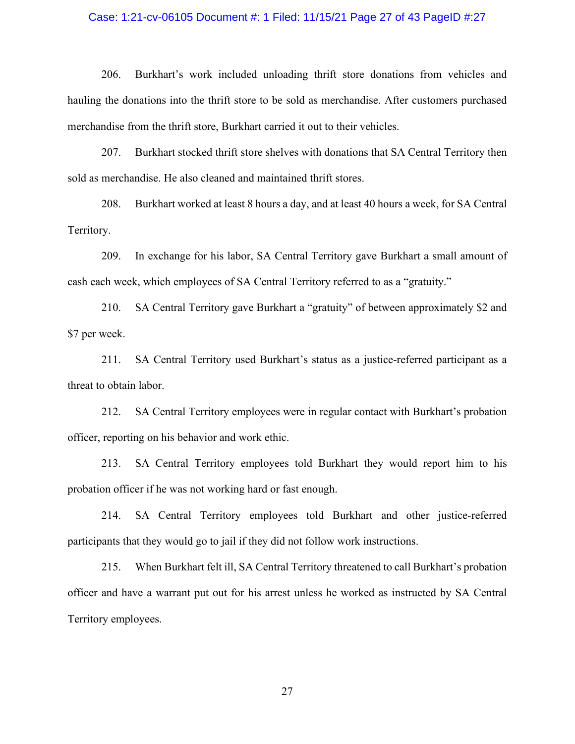#### Case: 1:21-cv-06105 Document #: 1 Filed: 11/15/21 Page 27 of 43 PageID #:27

1:21-cv-06105 Document #: 1 Filed: 11/15/21 Page 27 of 43 PageID #:27<br>206. Burkhart's work included unloading thrift store donations from vehicles and<br>the donations into the thrift store to be sold as merchandise. After cu hauling the donations into the thrift store to be sold as merchandise. After customers purchased merchandise from the thrift store, Burkhart carried it out to their vehicles. 208. Burkhart stocked thrift store shelves with donations from vehicles and the donations into the thrift store to be sold as merchandise. After customers purchased and the donations into the thrift store to be sold as mer 121-cv-06105 Document #: 1 Filed: 11/15/21 Page 27 of 43 PagelD #:27<br>206. Burkhart's work included unloading thrift store donations from vehicles and<br>the donations into the thrift store to be sold as merchandise. After cus 1:21-cv-06105 Document #: 1 Filed: 11/15/21 Page 27 of 43 PagelD #:27<br>206. Burkhart's work included unloading thrift store donations from vehicles and<br>the donations into the thrift store to be sold as merchandise. After eu 206. Burkhart's work included unloading thrift store donations from vehicles and<br>the donations into the thrift store to be sold as merchandise. After customers purchased<br>dise from the thrift store, Burkhart carried it out

sold as merchandise. He also cleaned and maintained thrift stores. andise from the thrift store, Burkhart carried it out to their vehicles.<br>
2017. Burkhart stocked thrift store shelves with donations that SA Central Territory then<br>
merchandise. He also cleaned and maintained thrift stores

Territory.

cash each week, which employees of SA Central Territory referred to as a "gratuity." merchandise. He also cleaned and maintained thrift stores.<br>
208. Burkhart worked at least 8 hours a day, and at least 40 hours a week, for SA Central<br>
209. In exchange for his labor, SA Central Territory gave Burkhart a sm

\$7 per week.

threat to obtain labor.

officer, reporting on his behavior and work ethic.

213. SA Central Territory employees told Burkhart a small amount of the week, which employees of SA Central Territory referred to as a "gratuity."<br>
210. SA Central Territory gave Burkhart a "gratuity" of between approximat probation officer if he was not working hard or fast enough. of SA Central Territory referred to as a "gratuity."<br>
210. SA Central Territory gave Burkhart a "gratuity" of between approximately \$2 and<br>
211. SA Central Territory used Burkhart's status as a justice-referred participant

participants that they would go to jail if they did not follow work instructions.

reak.<br>
211. SA Central Territory used Burkhart's status as a justice-referred participant as a<br>
212. SA Central Territory employees were in regular contact with Burkhart's probation<br>
reporting on his behavior and work citi officer and have a warrant put out for his arrest unless he worked as instructed by SA Central Territory employees.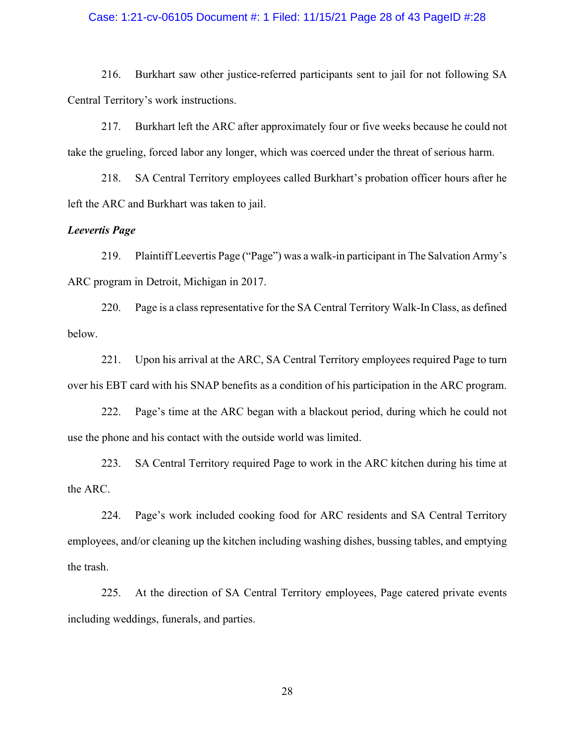#### Case: 1:21-cv-06105 Document #: 1 Filed: 11/15/21 Page 28 of 43 PageID #:28

216. Burkhart saw other justice-referred participants sent to jail for not following SA<br>216. Burkhart saw other justice-referred participants sent to jail for not following SA<br>217. Burkhart left the ARC after approximately Central Territory's work instructions. 216. Burkhart saw other justice-referred participants sent to jail for not following SA<br>216. Burkhart saw other justice-referred participants sent to jail for not following SA<br>217. Burkhart left the ARC after approximately

Case: 1:21-cv-06105 Document #: 1 Filed: 11/15/21 Page 28 of 43 PagelD #:28<br>216. Burkhart saw other justice-referred participants sent to jail for not following SA<br>Central Territory's work instructions.<br>217. Burkhart left 218. See: 1:21-cv-06105 Document #: 1 Filed: 11/15/21 Page 28 of 43 PagelD #:28<br>216. Burkhart saw other justice-referred participants sent to jail for not following SA<br>Territory's work instructions.<br>217. Burkhart left the Case: 1:21-cv-06105 Document #: 1 Filed: 11/15/21 Page 28 of 43 PagelD #:28<br>216. Burkhart saw other justice-referred participants sent to jail for not following SA<br>Central Territory's work instructions.<br>217. Burkhart left

#### Leevertis Page

1:21-cv-06105 Document #: 1 Filed: 11/15/21 Page 28 of 43 PagelD #:28<br>216. Burkhart saw other justice-referred participants sent to jail for not following SA<br>Territory's work instructions.<br>217. Burkhart left the ARC after 216. Burkhart saw other justice-referred participants sent to jail for not<br>
Central Territory's work instructions.<br>
217. Burkhart left the ARC after approximately four or five weeks becaus<br>
take the grueling, forced labor 216. Burkhart saw other justice-referred participants sent to jail for not following SA Territory's work instructions.<br>
217. Burkhart left the ARC after approximately four or five weeks because he could not grueling, force 217. Burkhart left the ARC after approximately four or five weeks because he could not grueling, forced labor any longer, which was coerced under the threat of serious harm.<br>
218. SA Central Territory employees called Burk take the grueling, foreed labor any longer, which was coerced under the threat of serious harm.<br>
218. SA Central Territory employees called Burkhart's probation officer hours after he<br>
left the ARC and Burkhart was taken t 218. SA Central Territory employees called Burkhart's probation officer hours after he<br>
ARC and Burkhart was taken to jail.<br>
229. Plaintiff Leevertis Page ("Page") was a walk-in participant in The Salvation Army's<br>
22. Pla *is Page*<br>
219. Plaintiff Leevertis Page ("Page") was a walk-in participant in The Salvation Army's<br>
220. Page is a class representative for the SA Central Territory Walk-In Class, as defined<br>
221. Upon his arrival at the

below.

use the phone and his contact with the outside world was limited.

the ARC.

rogram in Detroit, Michigan in 2017.<br>
220. Page is a class representative for the SA Central Territory Walk-In Class, as defined<br>
221. Upon his arrival at the ARC, SA Central Territory employees required Page to tum<br>
422. employees, and/or cleaning up the kitchen including washing dishes, bussing tables, and emptying the trash. 221. Upon his arrival at the ARC, SA Central Territory employees required Page to turn<br>FBT card with his SNAP benefits as a condition of his participation in the ARC program.<br>222. Page's time at the ARC began with a blacko

including weddings, funerals, and parties.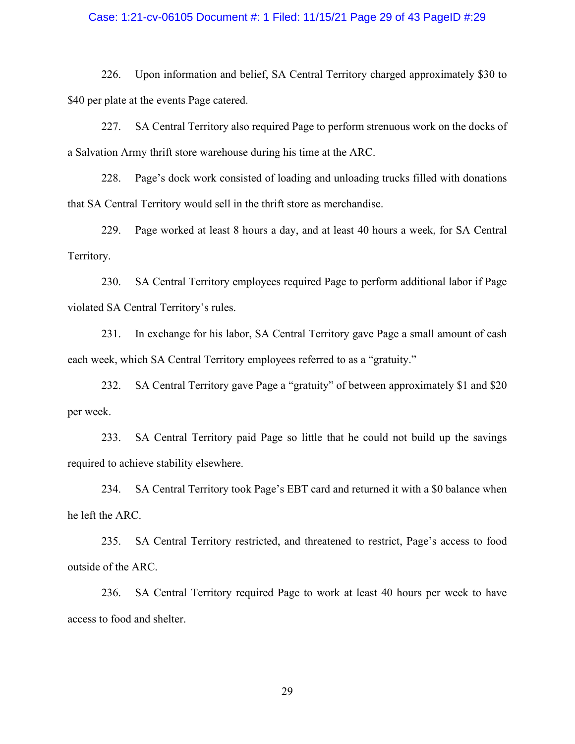#### Case: 1:21-cv-06105 Document #: 1 Filed: 11/15/21 Page 29 of 43 PageID #:29

226. Upon information and belief, SA Central Territory charged approximately \$30 to<br>226. Upon information and belief, SA Central Territory charged approximately \$30 to<br>227. SA Central Territory also required Page to perfor \$40 per plate at the events Page catered. 226. Upon information and belief, SA Central Territory charged approximately \$30 to<br>226. Upon information and belief, SA Central Territory charged approximately \$30 to<br>227. SA Central Territory also required Page to perfor

a Salvation Army thrift store warehouse during his time at the ARC.

228. Upon information and belief, SA Central Territory charged approximately \$30 to<br>226. Upon information and belief, SA Central Territory charged approximately \$30 to<br>227. SA Central Territory also required Page to perfor that SA Central Territory would sell in the thrift store as merchandise. 229. Page worked at least 8 hours a day, and at least 40 hours a week, for SA Central SA. Page worked at least 8 hours a week of tion Amy thift store warehouse during his time at the ARC.<br>
229. SA Central Territory also re

Territory.

226. Upon information and belief, SA Central Territory charged approximately \$30 to plate at the events Page catered.<br>
227. SA Central Territory also required Page to perform strenuous work on the docks of tion Army thrift violated SA Central Territory's rules. plate at the events Page catered.<br>
227. SA Central Territory also required Page to perform strenuous work on the docks of<br>
228. Page's dock work consisted of loading and unloading trucks filled with donations<br>
228. Page's ition Army thrift store warehouse during his time at the ARC.<br>
228. Page's dock work consisted of loading and unloading trucks filled with donations<br>
Central Territory would sell in the thrift store as merchandise.<br>
229. P Central Territory would sell in the thrift store as merchandise.<br>
229. Page worked at least 8 hours a day, and at least 40 hours a week, for SA Central<br>
230. SA Central Territory employees required Page to perform addition 9.<br>
230. SA Central Territory employees required Page to perform additional labor if Page<br>
18 SA Central Territory's rules.<br>
231. In exchange for his labor, SA Central Territory gave Page a small amount of eash<br>
231. In e 230. SA Central Territory employees required Page to perfor violated SA Central Territory's rules.<br>
231. In exchange for his labor, SA Central Territory gave Pa<br>
231. In exchange for his labor, SA Central Territory gave Pa

each week, which SA Central Territory employees referred to as a "gratuity."

per week.

required to achieve stability elsewhere.

1 SA Central Territory's rules.<br>
231. In exchange for his labor, SA Central Territory gave Page a small amount of eash<br>
beck, which SA Central Territory employees referred to as a "gratuity."<br>
232. SA Central Territory gav outside of the ARC.

236. SA Central Territory employees referred to as a "gratuity."<br>
232. SA Central Territory gave Page a "gratuity" of between approximately \$1 and \$20<br>
233. SA Central Territory paid Page so little that he could not build access to food and shelter.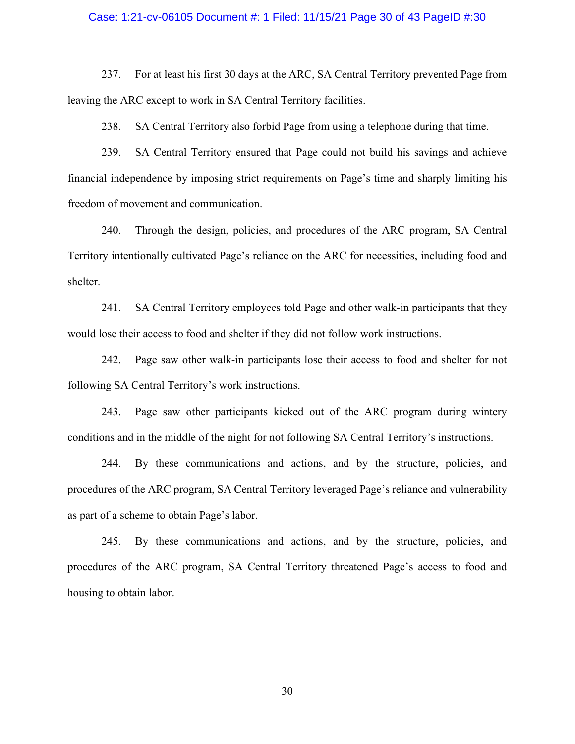#### Case: 1:21-cv-06105 Document #: 1 Filed: 11/15/21 Page 30 of 43 PageID #:30

237. For at least his first 30 days at the ARC, SA Central Territory prevented Page from<br>237. For at least his first 30 days at the ARC, SA Central Territory prevented Page from<br>238. SA Central Territory also forbid Page f leaving the ARC except to work in SA Central Territory facilities.

237. For at least his first 30 days at the ARC, SA Central Territory prevented Page from<br>237. For at least his first 30 days at the ARC, SA Central Territory prevented Page from<br>238. SA Central Territory also forbid Page f 1:21-cv-06105 Document #: 1 Filed: 11/15/21 Page 30 of 43 PagelD #:30<br>237. For at least his first 30 days at the ARC, SA Central Territory prevented Page from<br>the ARC except to work in SA Central Territory facilities.<br>238. financial independence by imposing strict requirements on Page's time and sharply limiting his freedom of movement and communication. 121-cv-06105 Document #: 1 Filed: 11/15/21 Page 30 of 43 PagelD #:30<br>
237. For at least his first 30 days at the ARC, SA Central Territory prevented Page from<br>
the ARC except to work in SA Central Territory facilities.<br>
23 237. For at least his first 30 days at the ARC, SA Central Territory prevented Page from<br>the ARC except to work in SA Central Territory facilities.<br>238. SA Central Territory also forbid Page from using a telephone during t 238. SA Central Territory also forbid Page from using a telephone during that time.<br>239. SA Central Territory ensured that Page could not build his savings and achieve<br>1 independence by imposing strict requirements on Page

Territory intentionally cultivated Page's reliance on the ARC for necessities, including food and shelter. Interaction of movement and communication.<br>
240. Through the design, policies, and procedures of the ARC program, SA Central<br>
240. Through the design, policies, and procedures of the ARC program, SA Central<br>
241. SA Centra

would lose their access to food and shelter if they did not follow work instructions.

following SA Central Territory's work instructions.

conditions and in the middle of the night for not following SA Central Territory's instructions.

240. Through the design, policies, and procedures of the ARC program, SA Central y intentionally cultivated Page's reliance on the ARC for necessities, including food and 241. SA Central Territory employees told Page and o Territory intentionally cultivated Page's reliance on the ARC for necessities, including food and shelter.<br>
241. SA Central Territory employees told Page and other walk-in participants that they would lose their access to as part of a scheme to obtain Page's labor. 241. SA Central Territory employees told Page and other walk-in participants that they ose their access to food and shelter if they did not follow work instructions.<br>242. Page saw other walk-in participants lose their acce would lose their access to food and shelter if they did not follow work instructions.<br>
242. Page saw other walk-in participants lose their access to food and shelter for not<br>
following SA Central Territory's work instructi

housing to obtain labor.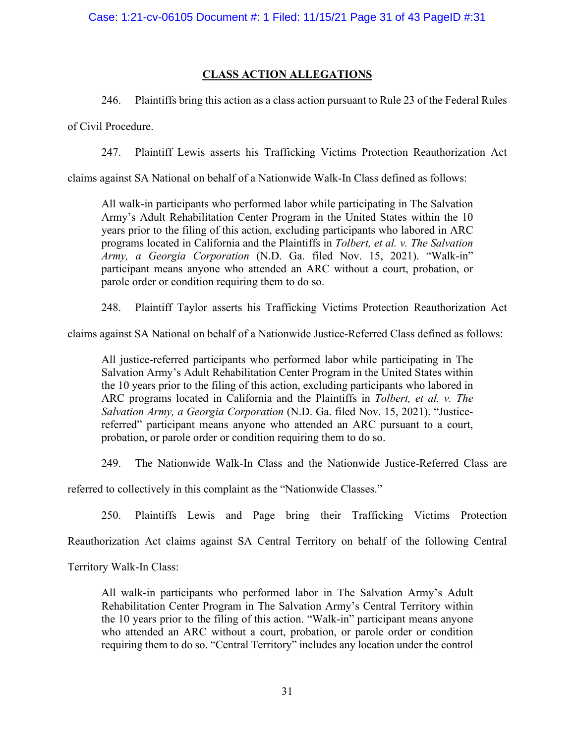#### CLASS ACTION ALLEGATIONS

of Civil Procedure.

246. Plaintiffs bring this action as a class action pursuant to Rule 23 of the Federal Rules<br>246. Plaintiffs bring this action as a class action pursuant to Rule 23 of the Federal Rules<br>247. Plaintiff Lewis asserts his Tra

247. Plaintiff Lewis asserts his Trafficking Victims Protection Reauthorization Act and Wille 23 of the Federal Rules<br>246. Plaintiffs bring this action as a class action pursuant to Rule 23 of the Federal Rules<br>247. Plaint Case: 1:21-cv-06105 Document #: 1 Filed: 11/15/21 Page 31 of 43 PagelD #:31<br>CLASS ACTION ALLEGATIONS<br>246. Plaintiffs bring this action as a class action pursuant to Rule 23 of the Federal Rules<br>of Civil Procedure.<br>247. Pla SEC 1:21-cv-06105 Document #: 1 Filed: 11/15/21 Page 31 of 43 PagelD #:31<br>
CLASS ACTION ALLEGATIONS<br>
246. Plaintiffs bring this action as a class action pursuant to Rule 23 of the Federal Rules<br>
247. Plaintiff Lewis assert SEE 1:21-cv-06105 Document #: 1 Filed: 11/15/21 Page 31 of 43 PagelD #:31<br>CLASS ACTION ALLEGATIONS<br>246. Plaintiffs bring this action as a class action pursuant to Rule 23 of the Federal Rules<br>Procedure.<br>247. Plaintiff Lewi SEC 1:21-cv-06105 Document #: 1 Filed: 11/15/21 Page 31 of 43 PagelD #:31<br>
<u>CLASS ACTION ALLEGATIONS</u><br>
246. Plaintiffs bring this action as a class action pursuant to Rule 23 of the Federal Rules<br>
Procedure.<br>
247. Plaintif se: 1:21-cv-06105 Document #: 1 Filed: 11/15/21 Page 31 of 43 PageID #:31<br>CLASS ACTION ALLEGATIONS<br>246. Plaintiffs bring this action as a class action pursuant to Rule 23 of the Federal Rules<br>Procedure.<br>247. Plaintiff Lewi se: 1:21-cv-06105 Document #: 1 Filed: 11/15/21 Page 31 of 43 PagelD #:31<br>
CLASS ACTION ALLEGATIONS<br>
246. Plaintiffs bring this action as a class action pursuant to Rule 23 of the Federal Rules<br>
Procedure.<br>
247. Plaintiff participant means anyone who attended an ARC without a court, probation, or parole order or condition requiring them to do so. **CLASS ACTION ALLEGATIONS**<br>
246. Plaintiffs bring this action as a class action pursuant to Rule 23 of the Federal Rules<br>
247. Plaintiff Lewis asserts his Trafficking Victims Protection Reauthorization Act<br>
247. Plaintiff 246. Plaintiffs bring this action as a class action pursuant to Rule 23 of the Federal Rules<br>of Civil Procedure.<br>247. Plaintiff Lewis asserts his Trafficking Victims Protection Reauthorization Act<br>claims against SA Nation Procedure.<br>
247. Plaintiff Lewis asserts his Trafficking Victims Protection Reauthorization Act<br>
247. Plaintiff Lewis asserts his Trafficking Victims Protection as follows:<br>
All walk-in participants who performed labor wh 247. Plaintiff Lewis asserts his Trafficking Victims Protection Reauthorization Act<br>against SA National on behalf of a Nationwide Walk-In Class defined as follows:<br>All walk-in participants who performed labor while partic ARC Product both a lastest inference Walk-In Class defined as follows:<br>
All walk-in participants who performed labor while participating in The Salvation<br>
Almow's Adult Rehabilitation Center Program in the United States w against SA National on behalf of a Nationwide Walk-In Class defined as follows:<br>All walk-in participants who performed labor while participating in The Salvation<br>Army's Adult Rehabilitation Center Program in the United Sta

Salvation Army's Adult Rehabilitation Center Program in the United States within referred" participant means anyone who attended an ARC pursuant to a court, probation, or parole order or condition requiring them to do so. From the Mation Center Muslim and the Plaintiffs in Tolbert 1, 2012. The Salvation Henricus Spears prior to the filing of this action, excluding participans who labored in ARC programs located in Calibrinis and the Plaint parole order or condition requiring them to do so.<br>
Parole order or condition requiring them to do so.<br>
248. Plaintiff Taylor asserts his Trafficking Victims Protection Reauthorization Act<br>
248. Plaintiff Taylor asserts h All justice-referred participants who performed labor while participating in The Salvation Army's Schult Rehabilitation Center Program in the Ulitel States within the Ulyeras prior to the filing of this action, excluding p Example to the filing of this action. The purisple and purchases are the product of Army's Adult Rehabilitation Center Program in the United States within the 10 years prior to the filing of this action, excluding partici Example The Transformation Control and the Planish mean control of the 10 years prior to the filing of this action, excluding participants who labored in ARC programs located in California and the Planifiths in Tolberr, et

referred to collectively in this complaint as the "Nationwide Classes."

Reauthorization Act claims against SA Central Territory on behalf of the following Central

Territory Walk-In Class:

who attended an ARC without a court, probation, or parole order or condition requiring them to do so. "Central Territory" includes any location under the control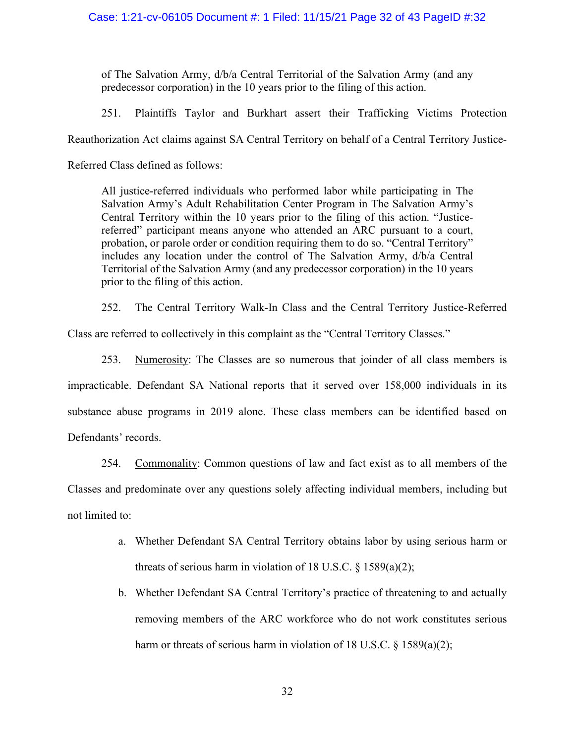of The Salvation Army, d/b/a Central Territorial of the Salvation Army (and any predecessor corporation) in the 10 years prior to the filing of this action. 121-cv-06105 Document #: 1 Filed: 11/15/21 Page 32 of 43 PagelD #:32<br>
of The Salvation Army, d/b/a Central Territorial of the Salvation Army (and any<br>
predecessor corporation) in the 10 years prior to the filing of this ac Case: 1:21-cv-06105 Document #: 1 Filed: 11/15/21 Page 32 of 43 PagelD #:32<br>
of The Salvation Army, *d/b/a* Central Territorial of the Salvation Army (and any<br>
predecessor corporation) in the 10 years prior to the filing o

Case: 1:21-cv-06105 Document #: 1 Filed: 11/15/21 Page 32 of 43 Pag<br>
of The Salvation Army,  $d/b/a$  Central Territorial of the Salvation Army (a<br>
predecessor corporation) in the 10 years prior to the filing of this action.<br> See: 1:21-cv-06105 Document #: 1 Filed: 11/15/21 Page 32 of 43 PageID #:32<br>
of The Salvation Army, *db/a* Central Territorial of the Salvation Army (and any<br>
predecessor corporation) in the 10 years prior to the filing of Salvation Army's Adult Rehabilitation Center Program in The Salvation Army's See: 1:21-cv-06105 Document #: 1 Filed: 11/15/21 Page 32 of 43 PagelD #:32<br>
of The Salvation Army,  $d\bar{b}/a$  Central Territorial of the Salvation Army (and any<br>
predecessor corporation) in the 10 years prior to the filing referred" participant means anyone who attended an ARC pursuant to a court, probation, or parole order or condition requiring them to do so. "Central Territory" includes any location under the control of The Salvation Army, d/b/a Central Territorial of the Salvation Army (and any predecessor corporation) in the 10 years prior to the filing of this action. of The Salvation Army, *d/b/a* Central Territorial of the Salvation Army (and any predecessor corporation) in the 10 years prior to the filing of this action.<br>251. Plaintiffs Taylor and Burkhart assert their Trafficking Vi 252. The Classes are solution of the Classes are so numerous that joinder and the Classes are solution. All justice-referred individuals who performed labor while participating in The Salvation Army's Adult Rehabilitation

Class are referred to collectively in this complaint as the "Central Territory Classes."

impracticable. Defendant SA National reports that it served over 158,000 individuals in its substance abuse programs in 2019 alone. These class members can be identified based on Defendant Territory's Central Territory's Central Territory's deal Rehabilitation Center Program in The Salvation Army's Central Territ Environment and remember and remember and remember and remember and remember and relation Center Program in The Salvation Central Territory within the 10 years prior to the filing of this action. referred" participant mea Existen Performant and Solvet Common And Machine and ARC pursuant to a court, and<br>probation, or parele order or condition requiring them to do so. "Central Territory"<br>includes any location under the control of The Salvatio Frequences and predominate over any questions of law and fact exist as to all members and predominated of the Salvation Army, dba Central Territorial of the Salvation Army (and any predecessor corporation) in the 10 years The Central Territory Walk-In Class and the Central Territory Justice-Referred<br>
ferred to collectively in this complaint as the "Central Territory Classes."<br>
Mumerosity: The Classes are so numerous that joinder of all clas **EXECUTE:** Numerosity: The Classes are so numerous that joinder of all class members is<br>ble. Defendant SA National reports that it served over 158,000 individuals in its<br>bluse programs in 2019 alone. These class members c Defendant SA National reports that it served over 158,000 individuals in its<br>se programs in 2019 alone. These class members can be identified based on<br>ords.<br>Commonality: Common questions of law and fact exist as to all mem

not limited to: sc programs in 2019 alone. These class members can be identified based on cords.<br>Commonality: Common questions of law and fact exist as to all members of the edominate over any questions solely affecting individual members

- threats of serious harm in violation of 18 U.S.C.  $\S$  1589(a)(2);
-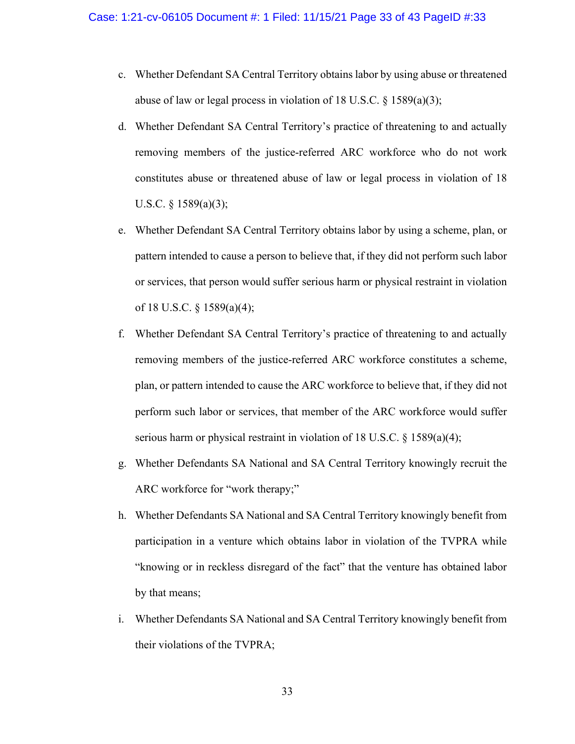- 1:21-cv-06105 Document #: 1 Filed: 11/15/21 Page 33 of 43 PageID #:33<br>c. Whether Defendant SA Central Territory obtains labor by using abuse or threatened<br>abuse of law or legal process in violation of 18 U.S.C. § 1589(a)( abuse of law or legal process in violation of 18 U.S.C. § 1589(a)(3);
- 1:21-cv-06105 Document #: 1 Filed: 11/15/21 Page 33 of 43 PageID #:33<br>
c. Whether Defendant SA Central Territory obtains labor by using abuse or threatened<br>
abuse of law or legal process in violation of 18 U.S.C. § 1589(a removing members of the justice-referred ARC workforce who do not work constitutes abuse or threatened abuse of law or legal process in violation of 18 U.S.C.  $\S$  1589(a)(3); 1:21-cv-06105 Document #: 1 Filed: 11/15/21 Page 33 of 43 PageID #:33<br>
c. Whether Defendant SA Central Territory obtains labor by using abuse or threatened<br>
abuse of law or legal process in violation of 18 U.S.C. § 1589(a 11-cv-06105 Document #: 1 Filed: 11/15/21 Page 33 of 43 PagelD #:33<br>Whether Defendant SA Central Territory obtains labor by using abuse or threatened<br>abuse of law or legal process in violation of 18 U.S.C. § 1589(a)(3);<br>W Whether Defendant SA Central Territory obtains labor by using abuse or threatened<br>abuse of law or legal process in violation of 18 U.S.C. § 1589(a)(3);<br>Whether Defendant SA Central Territory's practice of threatening to an Whether Defendant SA Central Territory obtains labor by using abuse or threatene<br>abuse of law or legal process in violation of 18 U.S.C. § 1589(a)(3);<br>Whether Defendant SA Central Territory's practice of threatening to and abuse of law or legal process in violation of 18 U.S.C. § 1589(a)(3);<br>d. Whether Defendant SA Central Territory's practice of threatening to and actually<br>removing members of the justice-referred ARC workforce who do not w
- 
- Whether Defendant SA Central Territory's practice of threatening to and actually<br>removing members of the justice-referred ARC workforce who do not work<br>constitutes abuse or threatened abuse of law or legal process in viola removing members of the justice-referred ARC workforce who do not work<br>constitutes abuse or threatened abuse of law or legal process in violation of 18<br>U.S.C. § 1589(a)(3);<br>Whether Defendant SA Central Territory obtains la constitutes abuse or threatened abuse of law or legal process in violation of 18<br>U.S.C. § 1589(a)(3);<br>Whether Defendant SA Central Territory obtains labor by using a scheme, plan, or<br>pattern intended to cause a person to b U.S.C. § 1589(a)(3);<br>Whether Defendant SA Central Territory obtains labor by using a scheme, plan, or<br>pattern intended to cause a person to believe that, if they did not perform such labor<br>or services, that person would su e. Whether Defendant SA Central Territory obtains labor by using a scheme, plan, or<br>pattern intended to cause a person to believe that, if they did not perform such labor<br>or services, that person would suffer serious harm or services, that person would suffer serious harm or physical restraint in violation<br>of 18 U.S.C. § 1589(a)(4);<br>f. Whether Defendant SA Central Territory's practice of threatening to and actually<br>removing members of the j Whether Defendant SA Central Territory's practice of threatening to and actually<br>removing members of the justice-referred ARC workforce constitutes a scheme,<br>plan, or pattern intended to cause the ARC workforce to believe
- ARC workforce for "work therapy;"
- participation in a venture which obtains labor in violation of the TVPRA while by that means; plan, or pattern intended to cause the ARC workforce to believe that, if they did not<br>perform such labor or services, that member of the ARC workforce would suffer<br>serious harm or physical restraint in violation of 18 U.S. perform such labor or services, that member of the ARC workforce wot<br>serious harm or physical restraint in violation of 18 U.S.C. § 1589(a)(4);<br>Whether Defendants SA National and SA Central Territory knowingly re<br>ARC workf
-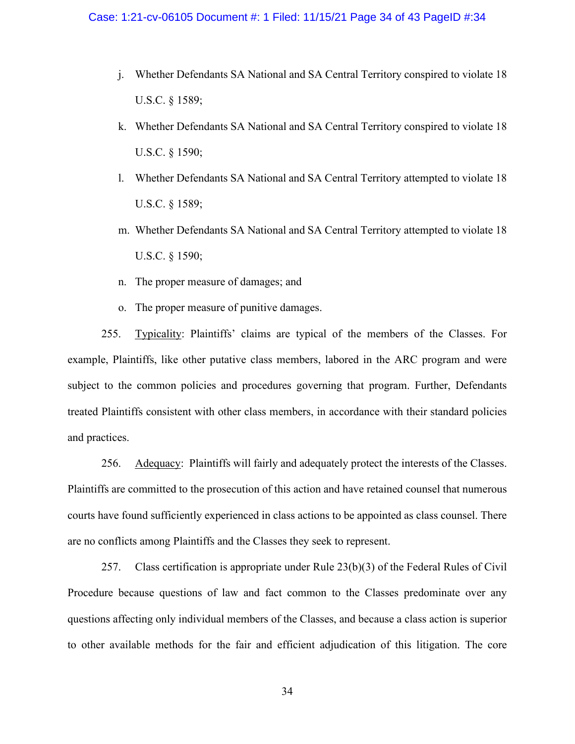- 1:21-cv-06105 Document #: 1 Filed: 11/15/21 Page 34 of 43 PageID #:34<br>j. Whether Defendants SA National and SA Central Territory conspired to violate 18<br>U.S.C. § 1589;<br>k. Whether Defendants SA National and SA Central Terri U.S.C. § 1589; 1:21-cv-06105 Document #: 1 Filed: 11/15/21 Page 34 of 43 PageID #:34<br>
i. Whether Defendants SA National and SA Central Territory conspired to violate 18<br>
U.S.C. § 1589;<br>
k. Whether Defendants SA National and SA Central Te
- U.S.C. § 1590;
- 1:21-cv-06105 Document #: 1 Filed: 11/15/21 Page 34 of 43 PageID #:34<br>
i. Whether Defendants SA National and SA Central Territory conspired to violate 18<br>
U.S.C. § 1589;<br>
k. Whether Defendants SA National and SA Central Te U.S.C. § 1589; 1:21-cv-06105 Document #: 1 Filed: 11/15/21 Page 34 of 43 PagelD #:34<br>
j. Whether Defendants SA National and SA Central Territory conspired to violate 18<br>
U.S.C. § 1589;<br>
k. Whether Defendants SA National and SA Central T i. Whether Defendants SA National and SA Central Territory conspire<br>U.S.C. § 1589;<br>k. Whether Defendants SA National and SA Central Territory conspire<br>U.S.C. § 1590;<br>1. Whether Defendants SA National and SA Central Territo
- U.S.C. § 1590;
- 
- 

9. Whether Defendants SA National and SA Central Territory conspire<br>
U.S.C. § 1589;<br>
R. Whether Defendants SA National and SA Central Territory conspire<br>
U.S.C. § 1590;<br>
1. Whether Defendants SA National and SA Central Ter 195. U.S.C. § 1589;<br>
25. C. § 1590;<br>
26. Whether Defendants SA National and SA Central Territory attempted to violate 18<br>
26. C. § 1590;<br>
26. Typicality: Plaintiffs' claims are typical of the members of the Classes. For<br>
2 k. Whether Defendants SA National and SA Central Territory conspired to violate 18<br>
U.S.C. § 1590;<br>
1. Whether Defendants SA National and SA Central Territory attempted to violate 18<br>
U.S.C. § 1589;<br>
m. Whether Defendants subject to the common policies and procedures governing that program. Further, Defendants 1. Whether Defendants SA National and SA Central Territory attempted to violate 18<br>
U.S.C. § 1589;<br>
m. Whether Defendants SA National and SA Central Territory attempted to violate 18<br>
U.S.C. § 1590;<br>
n. The proper measure and practices. m. Whether Defendants SA National and SA Central Territory attempted to violate 18<br>
U.S.C. § 1590;<br>
n. The proper measure of damages; and<br>
o. The proper measure of punitive damages.<br>
255. <u>Typicality</u>: Plaintiffs' claims a U.S.C. § 1590;<br>
n. The proper measure of damages; and<br>
o. The proper measure of punitive damages.<br>
255. <u>Typicality</u>: Plaintiffs' claims are typical of the members of the Classes. For<br>
example, Plaintiffs, like other putat o. The proper measure of punitive damages.<br>
255. <u>Typicality</u>: Plaintiffs' claims are typical of the members of the Classes. For<br>
example, Plaintiffs, like other putative class members, labored in the ARC program and were<br> 255. Typicality: Plaintiffs' claims are typical of the members of the Classes. For<br>e, Plaintiffs, like other putative class members, labored in the ARC program and were<br>to the common policies and procedures governing that example, Plaintiffs, like other putative class members, labored in the ARC program and were<br>subject to the common policies and procedures governing that program. Further, Defendants<br>treated Plaintiffs consistent with other

courts have found sufficiently experienced in class actions to be appointed as class counsel. There

questions affecting only individual members of the Classes, and because a class action is superior to other available methods for the fair and efficient adjudication of this litigation. The core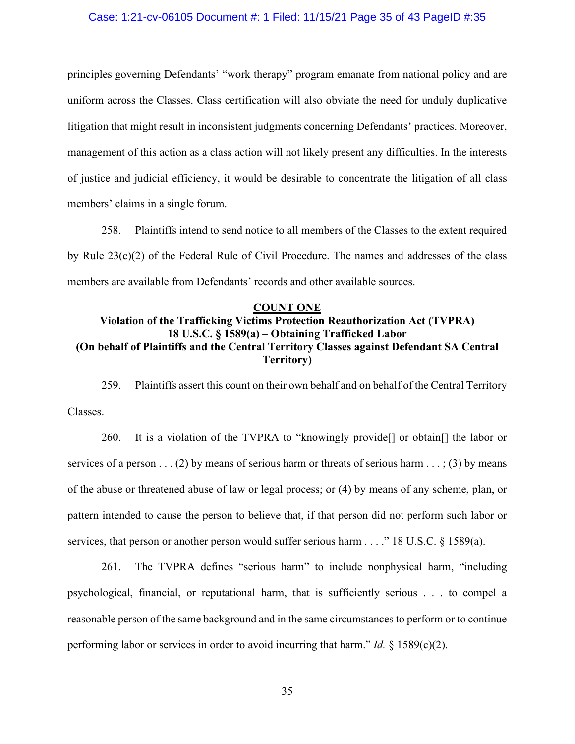#### Case: 1:21-cv-06105 Document #: 1 Filed: 11/15/21 Page 35 of 43 PageID #:35

Case: 1:21-cv-06105 Document #: 1 Filed: 11/15/21 Page 35 of 43 PageID #:35<br>principles governing Defendants' "work therapy" program emanate from national policy and are<br>uniform across the Classes. Class certification will Case: 1:21-cv-06105 Document #: 1 Filed: 11/15/21 Page 35 of 43 PagelD #:35<br>principles governing Defendants' "work therapy" program emanate from national policy and are<br>uniform across the Classes. Class certification will Case: 1:21-cv-06105 Document #: 1 Filed: 11/15/21 Page 35 of 43 PageID #:35<br>principles governing Defendants' "work therapy" program emanate from national policy and are<br>uniform across the Classes. Class certification will management of this action as a class action will not likely present any difficulties. In the interests of justice and judicial efficiency, it would be desirable to concentrate the litigation of all class members' claims in a single forum. 1:21-cv-06105 Document #: 1 Filed: 11/15/21 Page 35 of 43 PagelD #:35<br>
1:21-cv-06105 Document #: 1 Filed: 11/15/21 Page 35 of 43 PagelD #:35<br>
1:35<br>
1:35<br>
1:35<br>
1:35<br>
1:35<br>
1:35<br>
1:35<br>
1:35<br>
1:35<br>
1:45<br>
1:35<br>
1:45<br>
1:45<br>
1: Case: 1:21-cv-06105 Document *#*: 1 Filed: 11/15/21 Page 35 of 43 PageID *#*:35<br>principles governing Defendants' "work therapy" program emanate from national policy and are<br>uniform across the Classes. Class ecrtification principles governing Defendants' "work therapy" program emanate from national policy and are<br>uniform across the Classes. Class certification will also obviate the need for unduly duplicative<br>litigation that might result in asses. Class certification will also obviate the need for unduly duplicative<br>sult in inconsistent judgments concerning Defendants' practices. Moreover,<br>sult in inconsistent judgments concerning Defendants' practices. In th (OLEXT ONE)<br>
The Central On behalf of Plaintiffs and the Central Territory and the Interests. Moreover,<br>
anagement of this action as a class action will not likely present any difficulties. In the interests<br>
Custice and ju ment of this action as a class action will not likely present any difficulties. In the interests<br>
ce and judicial efficiency, it would be desirable to concentrate the litigation of all class<br>
rs' claims in a single forum.<br>

### COUNT ONE Violation of the Trafficking Victims Protection Reauthorization Act (TVPRA) Territory)

Classes.

258. Plaintiffs intend to send notice to all members of the Classes to the extent required<br>
23(c)(2) of the Federal Rule of Civil Procedure. The names and addresses of the class<br>
32(c)(2) of the Federal Rule of Civil Proc services of a person . . . (2) by means of serious harm or threats of serious harm . . . ; (3) by means of the abuse or threatened abuse of law or legal process; or (4) by means of any scheme, plan, or pattern intended to cause the person to believe that, if that person did not perform such labor or services, that person or another person would suffer serious harm . . . ." 18 U.S.C. § 1589(a). 261. It is a violation of the Central Territory Classes against Defendant SA Central Territory<br>
261. The Central Territory Classes against Defendant SA Central<br>
259. Plaintiffs assert this count on their own behalf and on

psychological, financial, or reputational harm, that is sufficiently serious . . . to compel a reasonable person of the same background and in the same circumstances to perform or to continue performing labor or services in order to avoid incurring that harm." *Id.*  $\S$  1589(c)(2).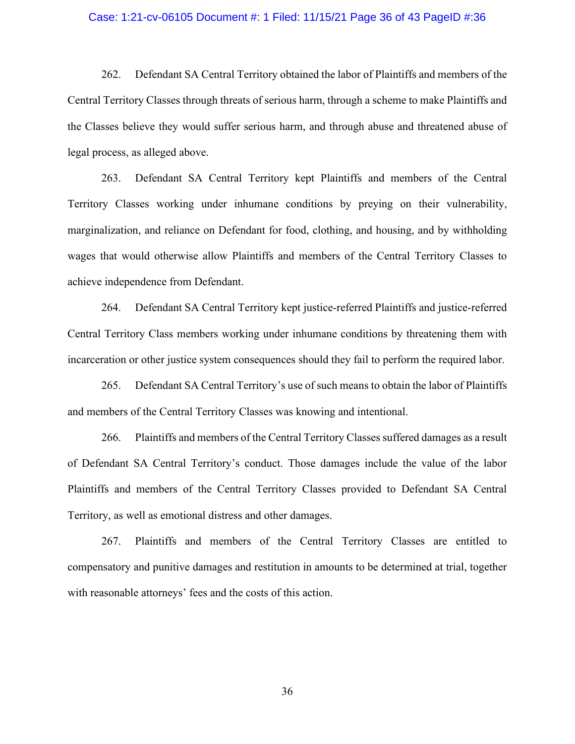#### Case: 1:21-cv-06105 Document #: 1 Filed: 11/15/21 Page 36 of 43 PageID #:36

262. Defendant SA Central Territory obtained the labor of Plaintiffs and members of the<br>262. Defendant SA Central Territory obtained the labor of Plaintiffs and members of the<br>262. Defendant SA Central Territory obtained t Case: 1:21-cv-06105 Document #: 1 Filed: 11/15/21 Page 36 of 43 PagelD #:36<br>262. Defendant SA Central Territory obtained the labor of Plaintiffs and members of the<br>Central Territory Classes through threats of serious harm, Case: 1:21-cv-06105 Document #: 1 Filed: 11/15/21 Page 36 of 43 PagelD #:36<br>262. Defendant SA Central Territory obtained the labor of Plaintiffs and members of the<br>Central Territory Classes through threats of serious harm, legal process, as alleged above. 1:21-cv-06105 Document #: 1 Filed: 11/15/21 Page 36 of 43 PagelD #:36<br>262. Defendant SA Central Territory obtained the labor of Plaintiffs and members of the<br>Territory Classes through threats of serious harm, through a sch

Territory Classes working under inhumane conditions by preying on their vulnerability, Case: 1:21-cv-06105 Document #: 1 Filed: 11/15/21 Page 36 of 43 PageID #:36<br>
262. Defendant SA Central Territory obtained the labor of Plaintiffs and members of the<br>
Central Territory Classes through threats of serious har wages that would otherwise allow Plaintiffs and members of the Central Territory Classes to 262. Defendant SA Central Territory obtained the labor of Plaintiffs and members<br>Central Territory Classes through threats of serious harm, through a scheme to make Plainti<br>the Classes believe they would suffer serious har 262. Defendant SA Central Territory obtained the labor of Plaintiffs and members of the Territory Classes through threats of serious harm, through a scheme to make Plaintiffs and Seses believe they would suffer serious har Central Territory Classes through threats of serious harm, through a scheme to make Plaintiffs and<br>the Classes believe they would suffer serious harm, and through abuse and threatened abuse of<br>regal process, as alleged abo the Classes believe they would suffer serious harm, and through abuse and threatened abuse of<br>legal process, as alleged above.<br>263. Defendant SA Central Territory kept Plaintiffs and members of the Central<br>Territory Classe ocess, as alleged above.<br>
263. Defendant SA Central Territory kept Plaintiffs and members of the Central<br>
y Classes working under inhumane conditions by preying on their vulnerability,<br>
alization, and reliance on Defendant 26. Plaintiffs and members of the Central Territory Classes suffered and members of the Central Territory Classes to independence from Defendant.<br>
264. Defendant SA Central Territory kept justice-referred Plaintiffs and ju

and members of the Central Territory Classes was knowing and intentional.

marginalization, and reliance on Defendant for food, clothing, and housing, and by withholding<br>wages that would otherwise allow Plaintiffs and members of the Central Territory Classes to<br>achieve independence from Defendant wages that would otherwise allow Plaintiffs and members of the Central Territory Classes to<br>achieve independence from Defendant.<br>264. Defendant SA Central Territory kept justice-referred Plaintiffs and justice-referred<br>Cen Territory, as well as emotional distress and other damages. 264. Defendant SA Central Territory kept justice-referred Plaintiffs and justice-referred Territory Classs members working under inhumane conditions by threatening them with ration or other justice system consequences shou

compensatory and punitive damages and restitution in amounts to be determined at trial, together with reasonable attorneys' fees and the costs of this action.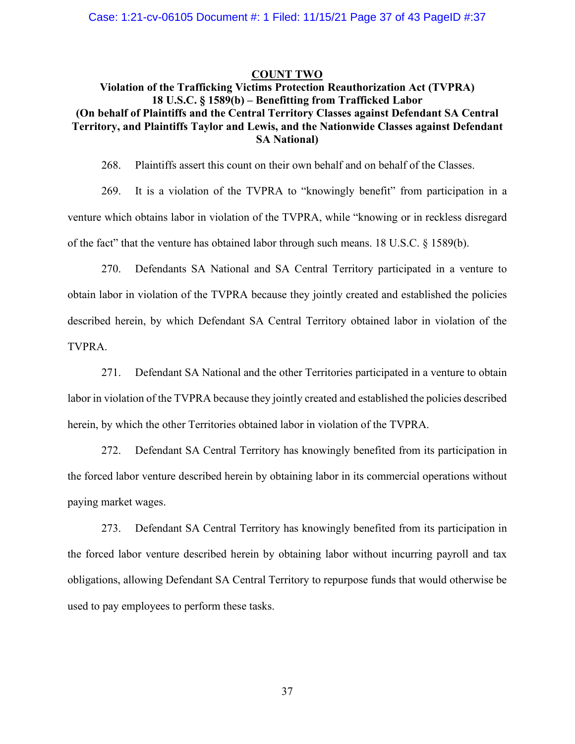#### COUNT TWO

# Violation of the Trafficking Victims Protection Reauthorization Act (TVPRA) 18 V-06105 Document #: 1 Filed: 11/15/21 Page 37 of 43 PagelD #:37<br>
18 U.S.C. § 1589(b) – Benefitting from Trafficked Labor<br>
18 U.S.C. § 1589(b) – Benefitting from Trafficked Labor<br>
18 U.S.C. § 1589(b) – Benefitting from T Case: 1:21-cv-06105 Document #: 1 Filed: 11/15/21 Page 37 of 43 PagelD #:37<br>
Violation of the Trafficking Victims Protection Reauthorization Act (TVPRA)<br>
18 U.S.C. § 1589(b) – Benefitting from Trafficked Labor<br>
(On behalf Case: 1:21-cv-06105 Document #: 1 Filed: 11/15/21 Page 37 of 43 PagelD #:37<br>
COUNT TWO<br>
Violation of the Trafficking Victims Protection Reauthorization Act (TVPRA)<br>
18 U.S.C. § 1589(b) – Benefitting from Trafficked Labor<br> SA National) 1:21-cv-06105 Document #: 1 Filed: 11/15/21 Page 37 of 43 PagelD #:37<br>
20 Violation of the Trafficking Victims Protection Reauthorization Act (TVPRA)<br>
18 U.S.C. § 1589(b) – Benefitting from Trafficked Labor<br>
19 Plaintiffs

1:21-cv-06105 Document #: 1 Filed: 11/15/21 Page 37 of 43 PagelD #:37<br>
Violation of the Trafficking Victims Protection Reauthorization Act (TVPRA)<br>
18 U.S.C. § 1589(b) – Benefitting from Trafficked Labor<br>
orbalf of Plainti venture which obtains labor in violation of the TVPRA, while "knowing or in reckless disregard of the fact" that the venture has obtained labor through such means. 18 U.S.C. § 1589(b).

270. Violation of the Trafficking Victims Protection Reauthorization Act (TVPRA)<br>
18 U.S.C. § 1589(b) – Benefitting from Trafficked Labor<br>
270. By and Plaintiffs Taylor and Lewis, and the Nationwide Classes against Defenda obtain labor in violation of the TVPRA because they jointly created and established the policies described herein, by which Defendant SA Central Territory obtained labor in violation of the TVPRA. 271. Defendant SA National and the other Territories participated in a venture of the other Territories.<br>279. It is a violation of the TVPRA to "knowingly benefit" from participation in a<br>which obtains labor in violation o 269. It is a violation of the TVPRA to "knowingly benefit" from participation in inventure which obtains labor in violation of the TVPRA, while "knowing or in reckless disregare of the fact" that the venture has obtained l which obtains labor in violation of the TVPRA, while "knowing or in reckless disregard<br>act" that the venture has obtained labor through such means. 18 U.S.C. § 1589(b).<br>270. Defendants SA National and SA Central Territory of the fact" that the venture has obtained labor through such means. 18 U.S.C. § 1589(b).<br>
270. Defendants SA National and SA Central Territory participated in a venture to<br>
botain labor in violation of the TVPRA because t

labor in violation of the TVPRA because they jointly created and established the policies described

paying market wages.

abor in violation of the TVPRA because they jointly created and established the policies<br>ed herein, by which Defendant SA Central Territory obtained labor in violation of the<br>.<br>.<br>271. Defendant SA National and the other Te the forced labor venture described herein by obtaining labor without incurring payroll and tax TVPRA.<br>
271. Defendant SA National and the other Territorics participated in a venture to obtain<br>
labor in violation of the TVPRA because they jointly created and established the policies described<br>
herein, by which the ot used to pay employees to perform these tasks.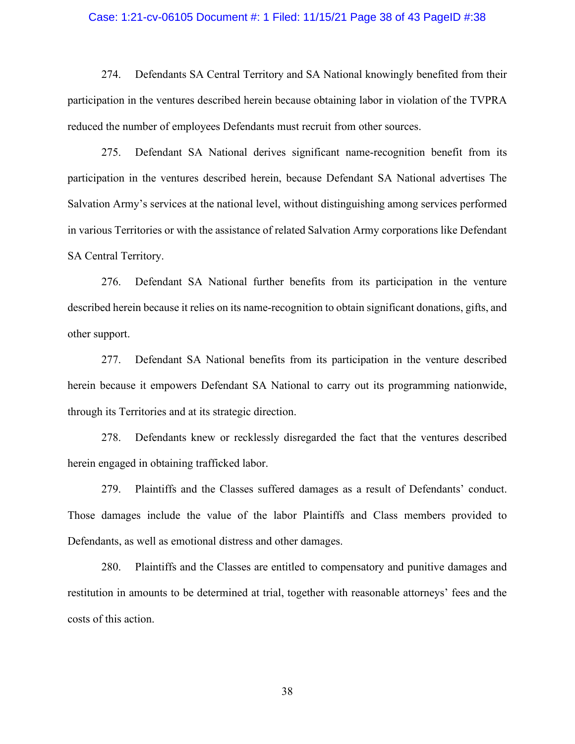#### Case: 1:21-cv-06105 Document #: 1 Filed: 11/15/21 Page 38 of 43 PageID #:38

1221-cv-06105 Document #: 1 Filed: 11/15/21 Page 38 of 43 PageID #:38<br>274. Defendants SA Central Territory and SA National knowingly benefited from their<br>ation in the ventures described herein because obtaining labor in vi Case: 1:21-cv-06105 Document #: 1 Filed: 11/15/21 Page 38 of 43 PagelD #:38<br>274. Defendants SA Central Territory and SA National knowingly benefited from their<br>participation in the ventures described herein because obtaini Case: 1:21-cv-06105 Document #: 1 Filed: 11/15/21 Page 38 of 43 PagelD #:38<br>274. Defendants SA Central Territory and SA National knowingly benefited from the<br>participation in the ventures described herein because obtaining

1:21-cv-06105 Document #: 1 Filed: 11/15/21 Page 38 of 43 PagelD #:38<br>274. Defendants SA Central Territory and SA National knowingly benefited from their<br>ation in the ventures described herein because obtaining labor in vi Case: 1:21-cv-06105 Document #: 1 Filed: 11/15/21 Page 38 of 43 PagelD #:38<br>274. Defendants SA Central Territory and SA National knowingly benefited from their<br>participation in the ventures described herein because obtaini Salvation Army's services at the national level, without distinguishing among services performed Case: 1:21-cv-06105 Document #: 1 Filed: 11/15/21 Page 38 of 43 PageID #:38<br>
274. Defendants SA Central Territory and SA National knowingly benefited from their<br>
participation in the ventures described herein because obtai SA Central Territory. 274. Defendants SA Central Territory and SA National knowingly benefited from their ation in the ventures described herein because obtaining labor in violation of the TVPRA the number of employees Defendants must recruit f 1 the number of employees Defendants must recruit from other sources.<br>
275. Defendant SA National derives significant name-recognition benefit from its<br>
ation in the ventures described herein, because Defendant SA National 278. Defendant SA National level, without distinguishing among services performed<br>276. Defendant SA National further benefits from its participation in the venture<br>276. Defendant SA National further benefits from its parti

described herein because it relies on its name-recognition to obtain significant donations, gifts, and other support. 179. Defendant SA National further benefits from its participation in the venture<br>ed herein because it relies on its name-recognition to obtain significant donations, gifts, and<br>pport.<br>277. Defendant SA National benefits f 276. Defendant SA National further benefits from its participation in the venture<br>deseribed herein because it relies on its name-recognition to obtain significant donations, gifts, and<br>other support.<br>277. Defendant SA Nati

herein because it empowers Defendant SA National to carry out its programming nationwide, through its Territories and at its strategic direction.

herein engaged in obtaining trafficked labor.

Defendants, as well as emotional distress and other damages.

1990)<br>277. Defendant SA National benefits from its participation in the venture described<br>because it empowers Defendant SA National to carry out its programming nationwide,<br>18. Defendants knew or recklessly disregarded the restitution in amounts to be determined at trial, together with reasonable attorneys' fees and the costs of this action.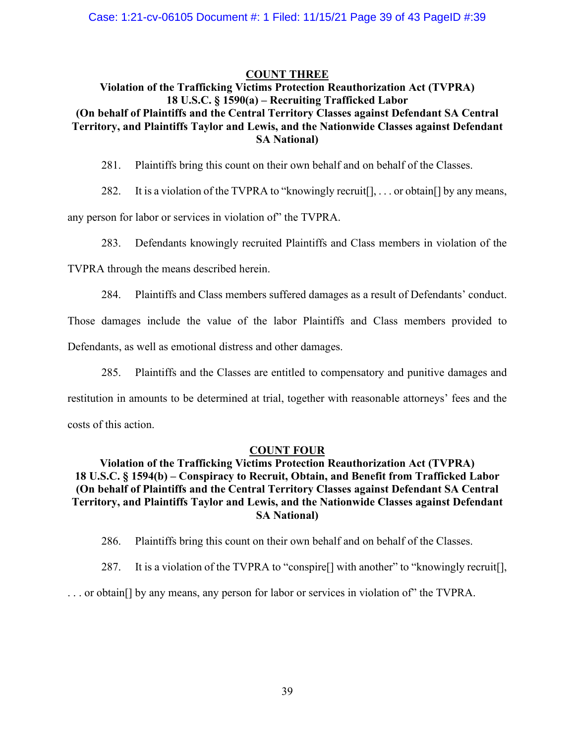#### COUNT THREE

## Violation of the Trafficking Victims Protection Reauthorization Act (TVPRA) 18 105 Document #: 1 Filed: 11/15/21 Page 39 of 43 PageID #:39<br>
18 U.S.C. § 1590(a) – Recruiting Trafficked Labor<br>
18 U.S.C. § 1590(a) – Recruiting Trafficked Labor<br>
18 U.S.C. § 1590(a) – Recruiting Trafficked Labor<br>
18 Ta (On behalf of Plaintiffs and the Central Territory Classes against Defendant SA Central Case: 1:21-cv-06105 Document #: 1 Filed: 11/15/21 Page 39 of 43 PagelD #:39<br>
COUNT THREE<br>
Violation of the Trafficking Victims Protection Reauthorization Act (TVPRA)<br>
18 U.S.C. § 1590(a) – Recruiting Trafficked Labor<br>
(On SA National) 1:21-cv-06105 Document #: 1 Filed: 11/15/21 Page 39 of 43 PagelD #:39<br>
Violation of the Trafficking Victims Protection Reauthorization Act (TVPRA)<br>
18 U.S.C. § 1590(a) – Recruiting Trafficked Labor<br>
Dehalf of Plaintiffs an 1:21-cv-06105 Document #: 1 Filed: 11/15/21 Page 39 of 43 PageID #:39<br>
Violation of the Trafficking Victims Protection Reauthorization Act (TVPRA)<br>
18 U.S.C. § 1590(a) – Recruiting Trafficked Labor<br>
orehalf of Plaintiffs a 283. Defendants knowingly recruited Plaintiffs and Class members are series and the conduction of the Trafficking Victims Protection Reauthorization Act (TVPRA)<br>18 U.S.C. § 1590(a) – Recruiting Trafficked Labor<br>thank of Pl 284. Plaintiffs and the crust members are resulted damages in the Class members of Plaintiffs and the Central Territory Classes against Defendant SA Central<br>ory, and Plaintiffs and the Central Territory Classes against Def Violation of the Trafficking Victims Protection Reauthorization Act (TVPRA)<br>
18 U.S.C. § 1890(a) – Recruting Trafficked Labor<br>
18 U.S.C. § 1890(a) – Recruting Trafficked Labor<br>
18 Territory, and Plaintiffs Taylor and Lewis

any person for labor or services in violation of" the TVPRA.

TVPRA through the means described herein.

Defendants, as well as emotional distress and other damages.

281. Plaintiffs bring this count on their own behalf and on behalf of the Classes.<br>282. It is a violation of the TVPRA to "knowingly recruit[], ... or obtain[] by any means,<br>283. Defendants knowingly recruited Plaintiffs a 281. Plaintiffs bring this count on their own behalf and on behalf of the Classes.<br>
282. It is a violation of the TVPRA to "knowingly recruit[], ... or obtain[] by any means,<br>
any person for labor or services in violation costs of this action. Selendants knowingly recruited Plaintiffs and Class members in violation of the<br>
Athrough the means described herein.<br>
284. Plaintiffs and Class members suffered damages as a result of Defendants' conduct.<br>
48. Plaintiffs 283. Defendants knowingly recruited Plaintiffs and Class members in violation of the<br>VPRA through the means described herein.<br>284. Plaintiffs and Class members suffered damages as a result of Defendants' conduct.<br>hose dama (ODINT FOLIR) Total of Plaintiffs and Central Territory Classes against Defendants and Plaintiffs and Class members suffered damages as a result of Defendants' conduct.<br>
Above damages include the value of the labor Plainti TVPRA through the means described herein.<br>
284. Plaintiffs and Class members suffered damages as a result of Defendants' conduct.<br>
Those damages include the value of the labor Plaintiffs and Class members provided to<br>
26. 287. It is a violation of the TYPRA to "conspire]] with another" to "knowingly exact on the same provided to ants, as well as emotional distress and other damages.<br>
285. Plaintiffs and the Classes are entitled to compensat Examples metals and of the halof compensatory and punitive damages and on in amounts to be determined at trial, together with reasonable attorneys' fees and the this action.<br> **COUNT FOUR**<br> **COUNT FOUR**<br> **COUNT FOUR**<br> **COUN** 

#### COUNT FOUR

# SA National)

. . . or obtain[] by any means, any person for labor or services in violation of" the TVPRA.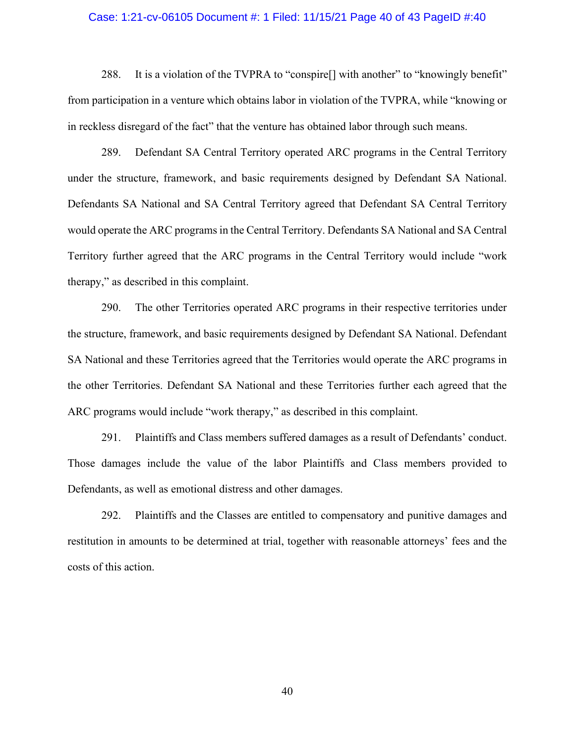#### Case: 1:21-cv-06105 Document #: 1 Filed: 11/15/21 Page 40 of 43 PageID #:40

1221-cv-06105 Document #: 1 Filed: 11/15/21 Page 40 of 43 PageID #:40<br>288. It is a violation of the TVPRA to "conspire[] with another" to "knowingly benefit"<br>tricipation in a venture which obtains labor in violation of the from participation in a venture which obtains labor in violation of the TVPRA, while "knowing or in reckless disregard of the fact" that the venture has obtained labor through such means.

121-cv-06105 Document #: 1 Filed: 11/15/21 Page 40 of 43 PagelD #:40<br>288. It is a violation of the TVPRA to "conspire[] with another" to "knowingly benefit"<br>riticipation in a venture which obtains labor in violation of the under the structure, framework, and basic requirements designed by Defendant SA National. Defendants SA National and SA Central Territory agreed that Defendant SA Central Territory Case: 1:21-cv-06105 Document #: 1 Filed: 11/15/21 Page 40 of 43 PageID #:40<br>
288. It is a violation of the TVPRA to "conspire[] with another" to "knowingly benefit"<br>
from participation in a venture which obtains labor in v Case: 1:21-cv-06105 Document *#*: 1 Filed: 11/15/21 Page 40 of 43 PagelD *#*:40<br>
288. It is a violation of the TVPRA to "conspire[] with another" to "knowingly benefit"<br>
from participation in a venture which obtains labor 288. It is a violation of the TVPRA to "conspire[] with another" to "<br>from participation in a venture which obtains labor in violation of the TVPRA,<br>in reckless disregard of the fact" that the venture has obtained labor th 288. It is a violation of the TVPRA to "conspire[] with another" to "knowingly benefit"<br>ritcipation in a venture which obtains labor in violation of the TVPRA, while "knowing or<br>ess disregard of the fact" that the venture in reckless disregard of the fact" that the venture has obtained labor through such means.<br>
289. Defendant SA Central Territory operated ARC programs in the Central Territory<br>
under the structure, framework, and basic requ 289. Defendant SA Central Territory operated ARC programs in the Central Territory<br>
under the structure, framework, and basic requirements designed by Defendant SA National.<br>
Defendants SA National and SA Central Territory

the structure, framework, and basic requirements designed by Defendant SA National. Defendant ARC programs would include "work therapy," as described in this complaint. ants SA National and SA Central Territory agreed that Defendant SA Central Territory<br>perate the ARC programs in the Central Territory. Defendants SA National and SA Central<br>y further agreed that the ARC programs in the Cen " as described in this complaint.<br>
290. The other Territories operated ARC programs in their respective territories under<br>
teture, framework, and basic requirements designed by Defendant SA National. Defendant<br>
ional and t

Those damages include the value of the labor Plaintiffs and Class members provided to Defendants, as well as emotional distress and other damages.

restitution in amounts to be determined at trial, together with reasonable attorneys' fees and the costs of this action.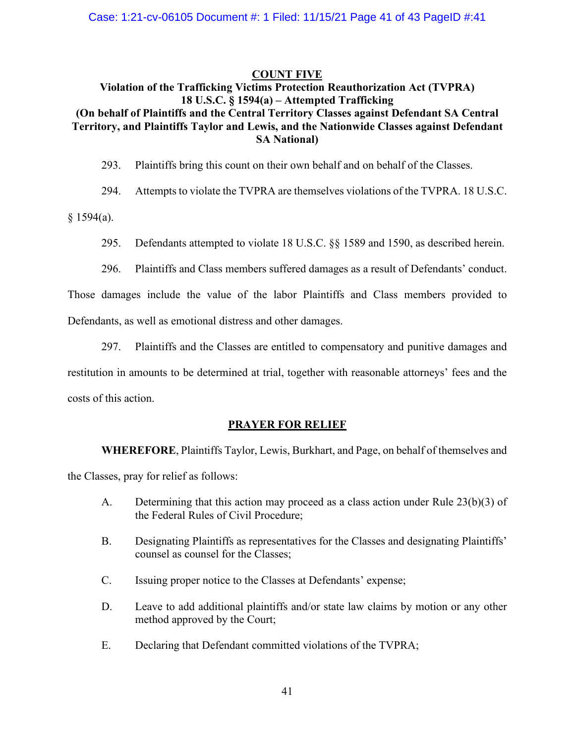#### COUNT FIVE

## Violation of the Trafficking Victims Protection Reauthorization Act (TVPRA) 05 Document #: 1 Filed: 11/15/21 Page 41 of 43 PagelD #:41<br>
COUNT FIVE<br>
Frafficking Victims Protection Reauthorization Act (TVPRA)<br>
18 U.S.C. § 1594(a) – Attempted Trafficking<br>
is and the Central Territory Classes against Case: 1:21-cv-06105 Document #: 1 Filed: 11/15/21 Page 41 of 43 PagelD #:41<br>COUNT FIVE<br>Violation of the Trafficking Victims Protection Reauthorization Act (TVPRA)<br>18 U.S.C. § 1594(a) – Attempted Trafficking<br>(On behalf of Case: 1:21-cv-06105 Document #: 1 Filed: 11/15/21 Page 41 of 43 PagelD #:41<br>
COUNT FIVE<br>
Violation of the Trafficking Victims Protection Reauthorization Act (TVPRA)<br>
18 U.S.C. § 1594(a) – Attempted Trafficking<br>
(On behalf SA National) 293. 2013. Plaintiffs bring this count of the Trafficking Victims Protection Reauthorization Act (TVPRA)<br>293. Platness counter the Charlies and the Central Territory Classes against Defendant SA Central<br>2013. Plaintiffs an 294. Attempts to violate the TVPRA are themselves violation of the Trafficking Victims Protection Reauthorization Act (TVPRA)<br>291. Attempted Trafficking Victims Protection Reauthorization Act (TVPRA)<br>291. The Trafficking o 295. 1:21-cv-06105 Document #: 1 Filed: 11/15/21 Page 41 of 43 PagelD #:41<br>
296. Violation of the Trafficking Victims Protection Reauthorization Act (TVPRA)<br>
291.S.C. §§ 1594(a) – Attempted Trafficking<br>
201. C. §§ 1594(a) 296. Plaintiffs and Class members are a results members against Defendant SA Central<br>18 U.S.C. § 1594(a) – Attempted Trafficking<br>1970, and Plaintiffs Taylor and Lewis, and the Nationwide Classes against Defendant<br>1970. Pla Ethalf of Plaintiffs and the Central Territory Classes against Defendant SA Central<br>ory, and Plaintiffs Taylor and Lewis, and the Nationwide Classes against Defendant<br>5.A National)<br>293. Plaintiffs bring this count on their

 $§ 1594(a).$ 

- 
- 

Those damages include the value of the labor Plaintiffs and Class members provided to Defendants, as well as emotional distress and other damages. a).<br>
295. Defendants attempted to violate 18 U.S.C. §§ 1589 and 1590, as described herein.<br>
296. Plaintiffs and Class members suffered damages as a result of Defendants' conduct.<br>
damages include the value of the labor Pla 296. Plaintiffs and Class members suffered damages as a result of Defendants' conduct.<br>
damages include the value of the labor Plaintiffs and Class members provided to<br>
ants, as well as emotional distress and other damages

restitution in amounts to be determined at trial, together with reasonable attorneys' fees and the costs of this action. B. Designating Plaintiffs as representatives for the Classes and designating Plaintiffs and the classes are entitled to compensatory and punitive damages and<br>on in amounts to be determined at trial, together with reasonabl 297. Plaintiffs and the Classes are entitled to compensatory and punitive damages and<br>on in amounts to be determined at trial, together with reasonable attorneys' fees and the<br>this action.<br>**PRAYER FOR RELLIEF**<br>WHEREFORE, P on in amounts to be determined at trial, together with reasonable attorneys' fees and the<br> **EREFORE, Plaintiffs Taylor, Lewis, Burkhart, and Page, on behalf of themselves and<br>
sees, pray for relief as follows:<br>
A. Determin** 

#### PRAYER FOR RELIEF

the Classes, pray for relief as follows:

- the Federal Rules of Civil Procedure;
- counsel as counsel for the Classes; **ERAYER FOR RELLEF**<br> **ERAYER FOR RELLEF**<br> **EXAMPLE TERT WHEREFORE, Plaintiffs** Taylor, Lewis, Burkhart, and Page, on behalf of themselves an<br>
sess, pray for relief as follows:<br>
A. Determining that this action may proceed a
- 
- method approved by the Court;
-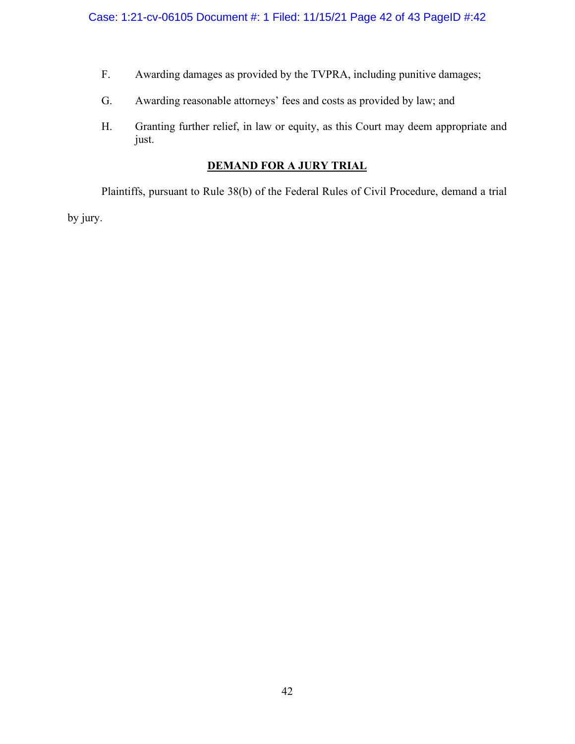- 
- 
- SE: 1:21-cv-06105 Document #: 1 Filed: 11/15/21 Page 42 of 43 PageID #:42<br>F. Awarding damages as provided by the TVPRA, including punitive damages;<br>G. Awarding reasonable attorneys' fees and costs as provided by law; and<br>H S. Awarding damages as provided by the TVPRA, including punitive damages;<br>G. Awarding reasonable attorneys' fees and costs as provided by law; and<br>H. Granting further relief, in law or equity, as this Court may deem approp H. Granting further relief, in law or equity, as this Court may deem appropriate and just.<br>
H. Granting further relief, in law or equity, as this Court may deem appropriate and just.<br>
DEMAND FOR A JURY TRIAL just.

### DEMAND FOR A JURY TRIAL

See: 1:21-cv-06105 Document #: 1 Filed: 11/15/21 Page 42 of 43 PagelD #:42<br>
F. Awarding damages as provided by the TVPRA, including punitive damages;<br>
G. Awarding reasonable attorneys' fees and costs as provided by law; an Case: 1:21-cv-06105 Document #: 1 Filed: 11/15/21 Page 42<br>F. Awarding damages as provided by the TVPRA, includin<br>G. Awarding reasonable attorneys' fees and costs as provid<br>H. Granting further relief, in law or equity, as t